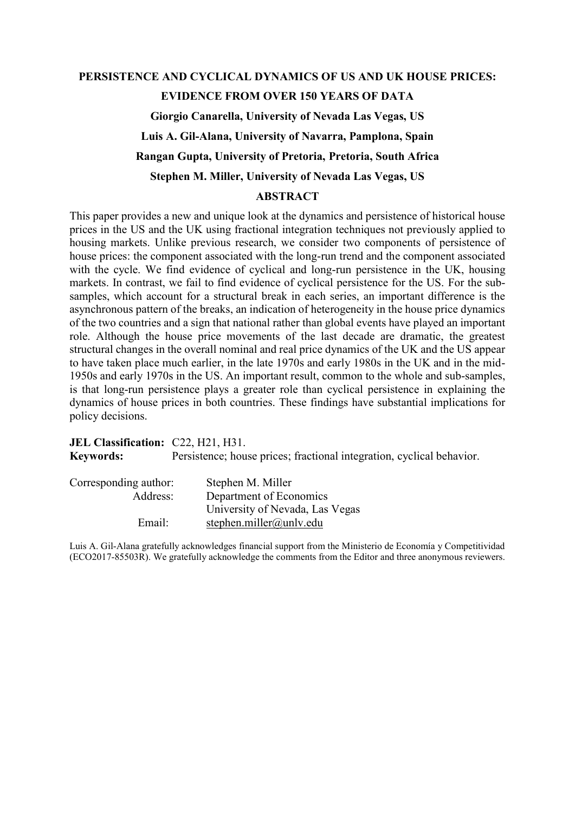# PERSISTENCE AND CYCLICAL DYNAMICS OF US AND UK HOUSE PRICES: EVIDENCE FROM OVER 150 YEARS OF DATA Giorgio Canarella, University of Nevada Las Vegas, US Luis A. Gil-Alana, University of Navarra, Pamplona, Spain Rangan Gupta, University of Pretoria, Pretoria, South Africa Stephen M. Miller, University of Nevada Las Vegas, US ABSTRACT

This paper provides a new and unique look at the dynamics and persistence of historical house prices in the US and the UK using fractional integration techniques not previously applied to housing markets. Unlike previous research, we consider two components of persistence of house prices: the component associated with the long-run trend and the component associated with the cycle. We find evidence of cyclical and long-run persistence in the UK, housing markets. In contrast, we fail to find evidence of cyclical persistence for the US. For the subsamples, which account for a structural break in each series, an important difference is the asynchronous pattern of the breaks, an indication of heterogeneity in the house price dynamics of the two countries and a sign that national rather than global events have played an important role. Although the house price movements of the last decade are dramatic, the greatest structural changes in the overall nominal and real price dynamics of the UK and the US appear to have taken place much earlier, in the late 1970s and early 1980s in the UK and in the mid-1950s and early 1970s in the US. An important result, common to the whole and sub-samples, is that long-run persistence plays a greater role than cyclical persistence in explaining the dynamics of house prices in both countries. These findings have substantial implications for policy decisions.

JEL Classification: C22, H21, H31. Keywords: Persistence; house prices; fractional integration, cyclical behavior.

| Corresponding author: | Stephen M. Miller               |
|-----------------------|---------------------------------|
| Address:              | Department of Economics         |
|                       | University of Nevada, Las Vegas |
| Email:                | stephen.miller@unlv.edu         |

Luis A. Gil-Alana gratefully acknowledges financial support from the Ministerio de Economía y Competitividad (ECO2017-85503R). We gratefully acknowledge the comments from the Editor and three anonymous reviewers.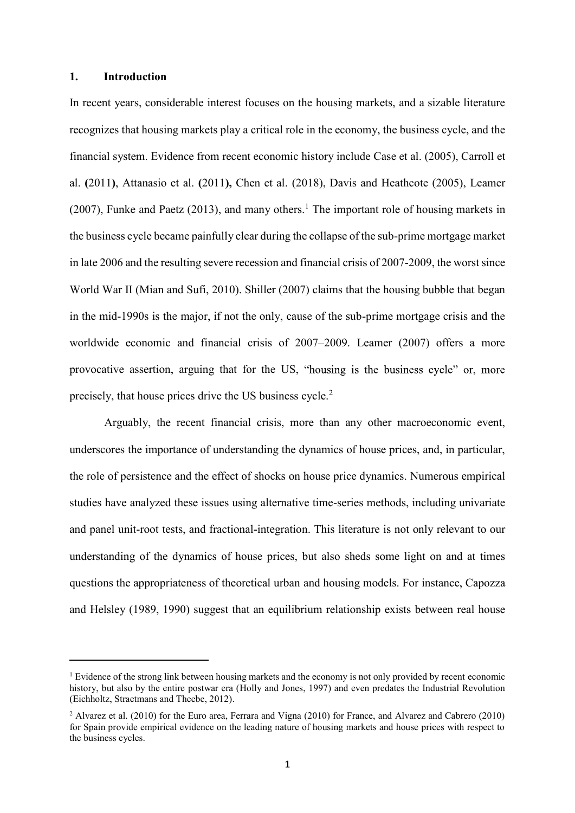## 1. Introduction

In recent years, considerable interest focuses on the housing markets, and a sizable literature recognizes that housing markets play a critical role in the economy, the business cycle, and the financial system. Evidence from recent economic history include Case et al. (2005), Carroll et al. (2011), Attanasio et al. (2011), Chen et al. (2018), Davis and Heathcote (2005), Leamer  $(2007)$ , Funke and Paetz  $(2013)$ , and many others.<sup>1</sup> The important role of housing markets in the business cycle became painfully clear during the collapse of the sub-prime mortgage market in late 2006 and the resulting severe recession and financial crisis of 2007-2009, the worst since World War II (Mian and Sufi, 2010). Shiller (2007) claims that the housing bubble that began in the mid-1990s is the major, if not the only, cause of the sub-prime mortgage crisis and the worldwide economic and financial crisis of 2007–2009. Leamer (2007) offers a more provocative assertion, arguing that for the US, "housing is the business cycle" or, more precisely, that house prices drive the US business cycle.<sup>2</sup>

 Arguably, the recent financial crisis, more than any other macroeconomic event, underscores the importance of understanding the dynamics of house prices, and, in particular, the role of persistence and the effect of shocks on house price dynamics. Numerous empirical studies have analyzed these issues using alternative time-series methods, including univariate and panel unit-root tests, and fractional-integration. This literature is not only relevant to our understanding of the dynamics of house prices, but also sheds some light on and at times questions the appropriateness of theoretical urban and housing models. For instance, Capozza and Helsley (1989, 1990) suggest that an equilibrium relationship exists between real house 1

<sup>&</sup>lt;sup>1</sup> Evidence of the strong link between housing markets and the economy is not only provided by recent economic history, but also by the entire postwar era (Holly and Jones, 1997) and even predates the Industrial Revolution (Eichholtz, Straetmans and Theebe, 2012).

<sup>&</sup>lt;sup>2</sup> Alvarez et al. (2010) for the Euro area, Ferrara and Vigna (2010) for France, and Alvarez and Cabrero (2010) for Spain provide empirical evidence on the leading nature of housing markets and house prices with respect to the business cycles.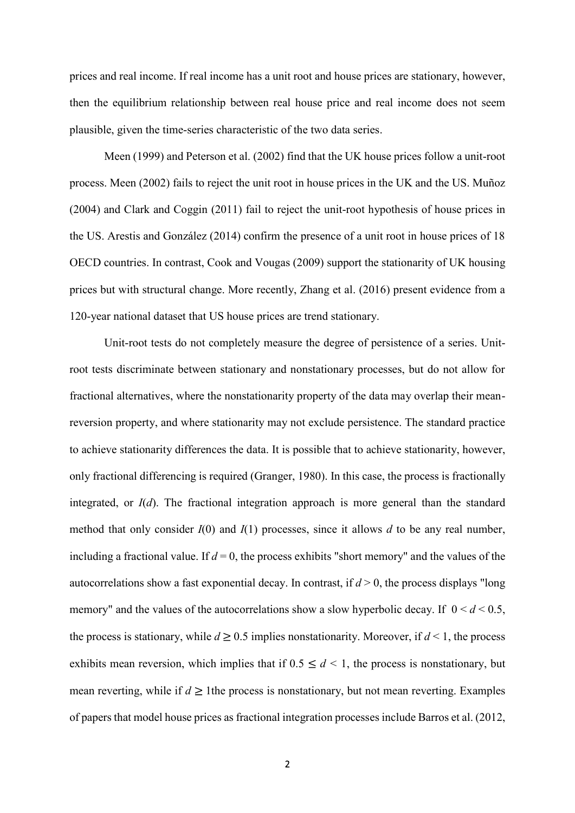prices and real income. If real income has a unit root and house prices are stationary, however, then the equilibrium relationship between real house price and real income does not seem plausible, given the time-series characteristic of the two data series.

Meen (1999) and Peterson et al. (2002) find that the UK house prices follow a unit-root process. Meen (2002) fails to reject the unit root in house prices in the UK and the US. Muñoz (2004) and Clark and Coggin (2011) fail to reject the unit-root hypothesis of house prices in the US. Arestis and González (2014) confirm the presence of a unit root in house prices of 18 OECD countries. In contrast, Cook and Vougas (2009) support the stationarity of UK housing prices but with structural change. More recently, Zhang et al. (2016) present evidence from a 120-year national dataset that US house prices are trend stationary. e equilibrium relationship between real house price and real income does not seem<br>le, given the time-series characteristic of the two data series.<br>Meen (1999) and Peterson et al. (2002) find that the UK house prices follow

root tests discriminate between stationary and nonstationary processes, but do not allow for fractional alternatives, where the nonstationarity property of the data may overlap their meanreversion property, and where stationarity may not exclude persistence. The standard practice to achieve stationarity differences the data. It is possible that to achieve stationarity, however, only fractional differencing is required (Granger, 1980). In this case, the process is fractionally integrated, or  $I(d)$ . The fractional integration approach is more general than the standard method that only consider  $I(0)$  and  $I(1)$  processes, since it allows d to be any real number, including a fractional value. If  $d = 0$ , the process exhibits "short memory" and the values of the autocorrelations show a fast exponential decay. In contrast, if  $d > 0$ , the process displays "long memory" and the values of the autocorrelations show a slow hyperbolic decay. If  $0 \le d \le 0.5$ , the process is stationary, while  $d \geq 0.5$  implies nonstationarity. Moreover, if  $d < 1$ , the process exhibits mean reversion, which implies that if  $0.5 \le d \le 1$ , the process is nonstationary, but mean reverting, while if  $d \ge 1$  the process is nonstationary, but not mean reverting. Examples of papers that model house prices as fractional integration processes include Barros et al. (2012,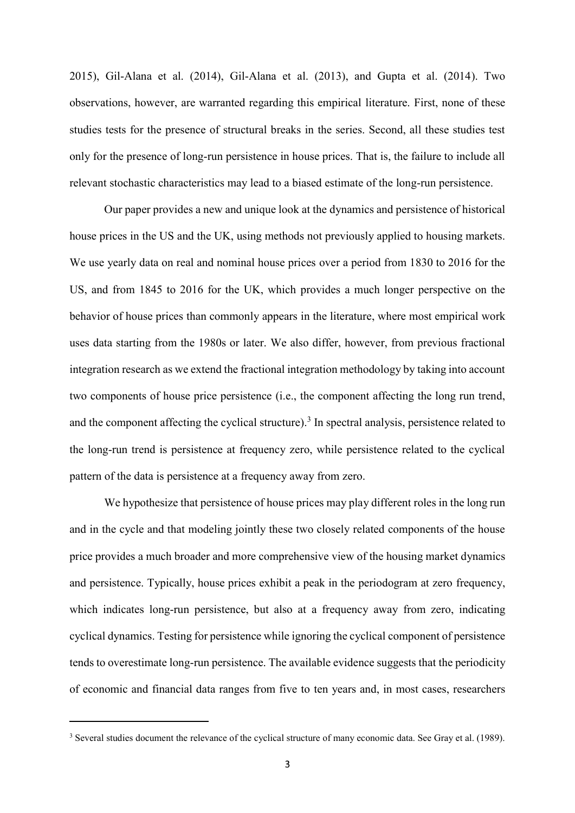2015), Gil-Alana et al. (2014), Gil-Alana et al. (2013), and Gupta et al. (2014). Two observations, however, are warranted regarding this empirical literature. First, none of these studies tests for the presence of structural breaks in the series. Second, all these studies test only for the presence of long-run persistence in house prices. That is, the failure to include all relevant stochastic characteristics may lead to a biased estimate of the long-run persistence.

Our paper provides a new and unique look at the dynamics and persistence of historical house prices in the US and the UK, using methods not previously applied to housing markets. We use yearly data on real and nominal house prices over a period from 1830 to 2016 for the US, and from 1845 to 2016 for the UK, which provides a much longer perspective on the behavior of house prices than commonly appears in the literature, where most empirical work uses data starting from the 1980s or later. We also differ, however, from previous fractional integration research as we extend the fractional integration methodology by taking into account two components of house price persistence (i.e., the component affecting the long run trend, and the component affecting the cyclical structure).<sup>3</sup> In spectral analysis, persistence related to the long-run trend is persistence at frequency zero, while persistence related to the cyclical pattern of the data is persistence at a frequency away from zero.

We hypothesize that persistence of house prices may play different roles in the long run and in the cycle and that modeling jointly these two closely related components of the house price provides a much broader and more comprehensive view of the housing market dynamics and persistence. Typically, house prices exhibit a peak in the periodogram at zero frequency, which indicates long-run persistence, but also at a frequency away from zero, indicating cyclical dynamics. Testing for persistence while ignoring the cyclical component of persistence tends to overestimate long-run persistence. The available evidence suggests that the periodicity of economic and financial data ranges from five to ten years and, in most cases, researchers

<sup>&</sup>lt;sup>3</sup> Several studies document the relevance of the cyclical structure of many economic data. See Gray et al. (1989).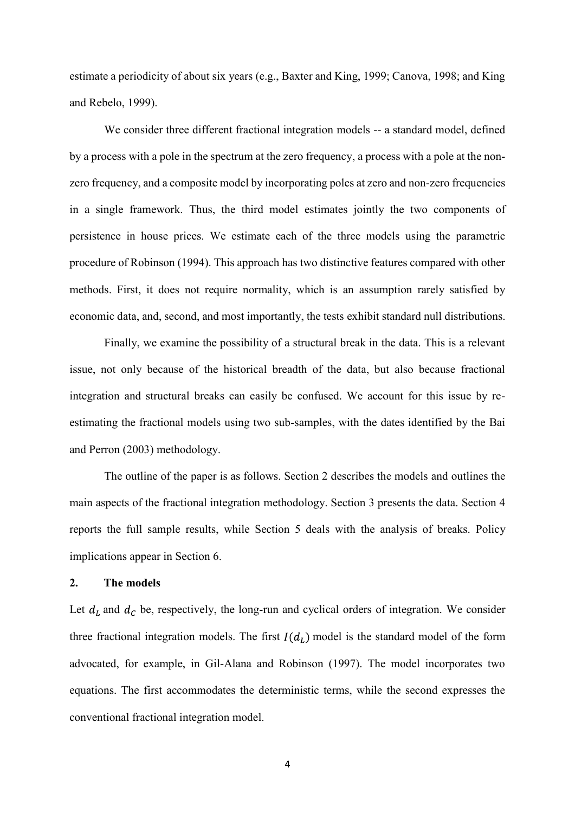estimate a periodicity of about six years (e.g., Baxter and King, 1999; Canova, 1998; and King and Rebelo, 1999).

We consider three different fractional integration models -- a standard model, defined by a process with a pole in the spectrum at the zero frequency, a process with a pole at the nonzero frequency, and a composite model by incorporating poles at zero and non-zero frequencies in a single framework. Thus, the third model estimates jointly the two components of persistence in house prices. We estimate each of the three models using the parametric procedure of Robinson (1994). This approach has two distinctive features compared with other methods. First, it does not require normality, which is an assumption rarely satisfied by economic data, and, second, and most importantly, the tests exhibit standard null distributions.

Finally, we examine the possibility of a structural break in the data. This is a relevant issue, not only because of the historical breadth of the data, but also because fractional integration and structural breaks can easily be confused. We account for this issue by reestimating the fractional models using two sub-samples, with the dates identified by the Bai and Perron (2003) methodology.

The outline of the paper is as follows. Section 2 describes the models and outlines the main aspects of the fractional integration methodology. Section 3 presents the data. Section 4 reports the full sample results, while Section 5 deals with the analysis of breaks. Policy implications appear in Section 6.

## 2. The models

Let  $d_L$  and  $d_C$  be, respectively, the long-run and cyclical orders of integration. We consider three fractional integration models. The first  $I(d_L)$  model is the standard model of the form advocated, for example, in Gil-Alana and Robinson (1997). The model incorporates two equations. The first accommodates the deterministic terms, while the second expresses the conventional fractional integration model.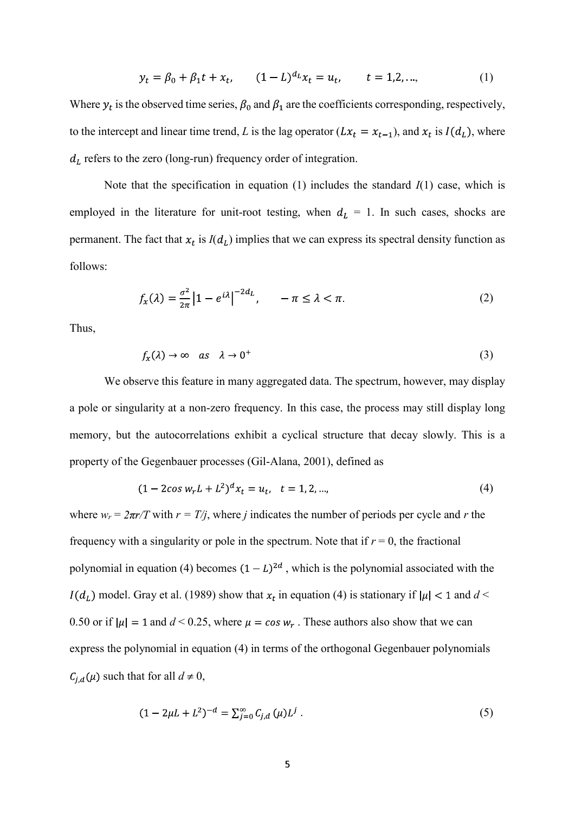$$
y_t = \beta_0 + \beta_1 t + x_t, \qquad (1 - L)^{d_L} x_t = u_t, \qquad t = 1, 2, \dots,
$$
 (1)

Where  $y_t$  is the observed time series,  $\beta_0$  and  $\beta_1$  are the coefficients corresponding, respectively, to the intercept and linear time trend, L is the lag operator ( $Lx_t = x_{t-1}$ ), and  $x_t$  is  $I(d_t)$ , where  $d_L$  refers to the zero (long-run) frequency order of integration.

Note that the specification in equation (1) includes the standard  $I(1)$  case, which is employed in the literature for unit-root testing, when  $d<sub>L</sub> = 1$ . In such cases, shocks are permanent. The fact that  $x_t$  is  $I(d_t)$  implies that we can express its spectral density function as follows:

$$
f_{\mathcal{X}}(\lambda) = \frac{\sigma^2}{2\pi} \left| 1 - e^{i\lambda} \right|^{-2d_{L}}, \quad -\pi \leq \lambda < \pi. \tag{2}
$$

Thus,

$$
f_{\mathbf{x}}(\lambda) \to \infty \quad as \quad \lambda \to 0^+ \tag{3}
$$

We observe this feature in many aggregated data. The spectrum, however, may display a pole or singularity at a non-zero frequency. In this case, the process may still display long memory, but the autocorrelations exhibit a cyclical structure that decay slowly. This is a property of the Gegenbauer processes (Gil-Alana, 2001), defined as

$$
(1 - 2\cos w_r L + L^2)^d x_t = u_t, \quad t = 1, 2, \dots,
$$
\n(4)

where  $w_r = 2\pi r/T$  with  $r = T/i$ , where j indicates the number of periods per cycle and r the frequency with a singularity or pole in the spectrum. Note that if  $r = 0$ , the fractional polynomial in equation (4) becomes  $(1 - L)^{2d}$ , which is the polynomial associated with the  $I(d_L)$  model. Gray et al. (1989) show that  $x_t$  in equation (4) is stationary if  $|\mu| < 1$  and  $d <$ 0.50 or if  $|\mu| = 1$  and  $d < 0.25$ , where  $\mu = \cos w_r$ . These authors also show that we can express the polynomial in equation (4) in terms of the orthogonal Gegenbauer polynomials  $C_{i,d}(\mu)$  such that for all  $d \neq 0$ ,

$$
(1 - 2\mu L + L^2)^{-d} = \sum_{j=0}^{\infty} C_{j,d}(\mu) L^j.
$$
 (5)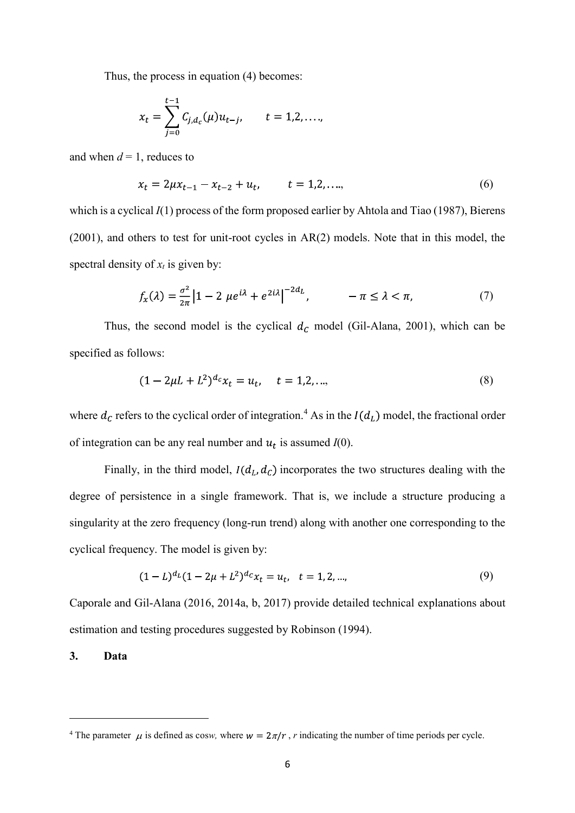Thus, the process in equation (4) becomes:

$$
x_t = \sum_{j=0}^{t-1} C_{j,d_c}(\mu) u_{t-j}, \qquad t = 1,2,\ldots,
$$

and when  $d = 1$ , reduces to

$$
x_t = 2\mu x_{t-1} - x_{t-2} + u_t, \qquad t = 1, 2, \dots,
$$
\n<sup>(6)</sup>

which is a cyclical  $I(1)$  process of the form proposed earlier by Ahtola and Tiao (1987), Bierens (2001), and others to test for unit-root cycles in AR(2) models. Note that in this model, the spectral density of  $x_t$  is given by:

$$
f_{x}(\lambda) = \frac{\sigma^2}{2\pi} \left| 1 - 2 \mu e^{i\lambda} + e^{2i\lambda} \right|^{-2d_{L}}, \qquad -\pi \le \lambda < \pi,\tag{7}
$$

Thus, the second model is the cyclical  $d_c$  model (Gil-Alana, 2001), which can be specified as follows:

$$
(1 - 2\mu L + L^2)^{d_c} x_t = u_t, \quad t = 1, 2, \dots,
$$
\n(8)

where  $d_C$  refers to the cyclical order of integration.<sup>4</sup> As in the  $I(d_L)$  model, the fractional order of integration can be any real number and  $u_t$  is assumed  $I(0)$ .

Finally, in the third model,  $I(d_L, d_C)$  incorporates the two structures dealing with the degree of persistence in a single framework. That is, we include a structure producing a singularity at the zero frequency (long-run trend) along with another one corresponding to the cyclical frequency. The model is given by:

$$
(1 - L)^{d_L}(1 - 2\mu + L^2)^{d_C}x_t = u_t, \quad t = 1, 2, \dots,
$$
\n(9)

Caporale and Gil-Alana (2016, 2014a, b, 2017) provide detailed technical explanations about estimation and testing procedures suggested by Robinson (1994).

## 3. Data

<sup>&</sup>lt;sup>4</sup> The parameter  $\mu$  is defined as cosw, where  $w = 2\pi/r$ , r indicating the number of time periods per cycle.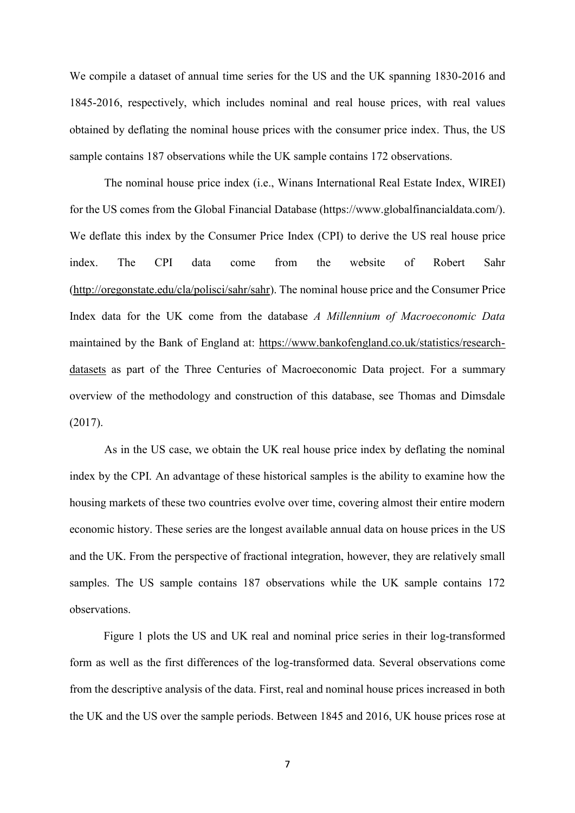We compile a dataset of annual time series for the US and the UK spanning 1830-2016 and<br>1845-2016, respectively, which includes nominal and real house prices, with real values<br>obtained by deflating the nominal house prices 1845-2016, respectively, which includes nominal and real house prices, with real values obtained by deflating the nominal house prices with the consumer price index. Thus, the US sample contains 187 observations while the UK sample contains 172 observations.

The nominal house price index (i.e., Winans International Real Estate Index, WIREI) for the US comes from the Global Financial Database (https://www.globalfinancialdata.com/). We deflate this index by the Consumer Price Index (CPI) to derive the US real house price index. The CPI data come from the website of Robert Sahr (http://oregonstate.edu/cla/polisci/sahr/sahr). The nominal house price and the Consumer Price Index data for the UK come from the database A Millennium of Macroeconomic Data maintained by the Bank of England at: https://www.bankofengland.co.uk/statistics/researchdatasets as part of the Three Centuries of Macroeconomic Data project. For a summary overview of the methodology and construction of this database, see Thomas and Dimsdale (2017).

As in the US case, we obtain the UK real house price index by deflating the nominal index by the CPI. An advantage of these historical samples is the ability to examine how the housing markets of these two countries evolve over time, covering almost their entire modern economic history. These series are the longest available annual data on house prices in the US and the UK. From the perspective of fractional integration, however, they are relatively small samples. The US sample contains 187 observations while the UK sample contains 172 observations.

Figure 1 plots the US and UK real and nominal price series in their log-transformed form as well as the first differences of the log-transformed data. Several observations come from the descriptive analysis of the data. First, real and nominal house prices increased in both the UK and the US over the sample periods. Between 1845 and 2016, UK house prices rose at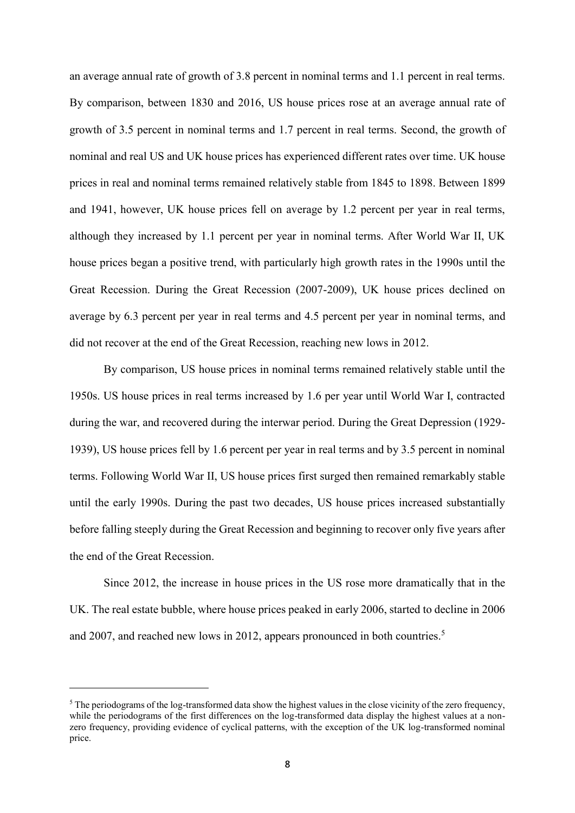an average annual rate of growth of 3.8 percent in nominal terms and 1.1 percent in real terms. By comparison, between 1830 and 2016, US house prices rose at an average annual rate of growth of 3.5 percent in nominal terms and 1.7 percent in real terms. Second, the growth of nominal and real US and UK house prices has experienced different rates over time. UK house prices in real and nominal terms remained relatively stable from 1845 to 1898. Between 1899 and 1941, however, UK house prices fell on average by 1.2 percent per year in real terms, although they increased by 1.1 percent per year in nominal terms. After World War II, UK house prices began a positive trend, with particularly high growth rates in the 1990s until the Great Recession. During the Great Recession (2007-2009), UK house prices declined on average by 6.3 percent per year in real terms and 4.5 percent per year in nominal terms, and did not recover at the end of the Great Recession, reaching new lows in 2012.

By comparison, US house prices in nominal terms remained relatively stable until the 1950s. US house prices in real terms increased by 1.6 per year until World War I, contracted during the war, and recovered during the interwar period. During the Great Depression (1929- 1939), US house prices fell by 1.6 percent per year in real terms and by 3.5 percent in nominal terms. Following World War II, US house prices first surged then remained remarkably stable until the early 1990s. During the past two decades, US house prices increased substantially before falling steeply during the Great Recession and beginning to recover only five years after the end of the Great Recession.

Since 2012, the increase in house prices in the US rose more dramatically that in the UK. The real estate bubble, where house prices peaked in early 2006, started to decline in 2006 and 2007, and reached new lows in 2012, appears pronounced in both countries.<sup>5</sup><br>
The periodograms of the log transformed data show the highest values in the close vicinity of the zero frequency

 $\delta$  The periodograms of the log-transformed data show the highest values in the close vicinity of the zero frequency, while the periodograms of the first differences on the log-transformed data display the highest values at a nonzero frequency, providing evidence of cyclical patterns, with the exception of the UK log-transformed nominal price.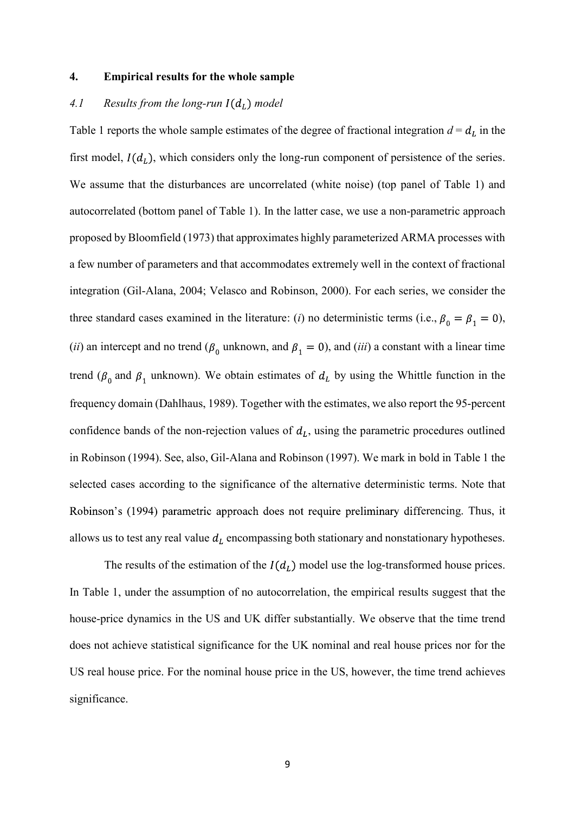#### 4. Empirical results for the whole sample

### 4.1 Results from the long-run  $I(d_L)$  model

Table 1 reports the whole sample estimates of the degree of fractional integration  $d = d_L$  in the first model,  $I(d_L)$ , which considers only the long-run component of persistence of the series. We assume that the disturbances are uncorrelated (white noise) (top panel of Table 1) and autocorrelated (bottom panel of Table 1). In the latter case, we use a non-parametric approach proposed by Bloomfield (1973) that approximates highly parameterized ARMA processes with a few number of parameters and that accommodates extremely well in the context of fractional integration (Gil-Alana, 2004; Velasco and Robinson, 2000). For each series, we consider the three standard cases examined in the literature: (*i*) no deterministic terms (i.e.,  $\beta_0 = \beta_1 = 0$ ), (ii) an intercept and no trend ( $\beta_0$  unknown, and  $\beta_1 = 0$ ), and (iii) a constant with a linear time trend ( $\beta_0$  and  $\beta_1$  unknown). We obtain estimates of  $d_L$  by using the Whittle function in the frequency domain (Dahlhaus, 1989). Together with the estimates, we also report the 95-percent confidence bands of the non-rejection values of  $d<sub>L</sub>$ , using the parametric procedures outlined autocorrelated (bottom panel of Table 1). In the latter case, we use a non-parametric approach<br>proposed by Bloomfield (1973) that approximates highly parameterized ARMA processes with<br>a few number of parameters and that a selected cases according to the significance of the alternative deterministic terms. Note that Robinson's (1994) parametric approach does not require preliminary differencing. Thus, it allows us to test any real value  $d<sub>L</sub>$  encompassing both stationary and nonstationary hypotheses.

The results of the estimation of the  $I(d_L)$  model use the log-transformed house prices. In Table 1, under the assumption of no autocorrelation, the empirical results suggest that the house-price dynamics in the US and UK differ substantially. We observe that the time trend does not achieve statistical significance for the UK nominal and real house prices nor for the US real house price. For the nominal house price in the US, however, the time trend achieves significance.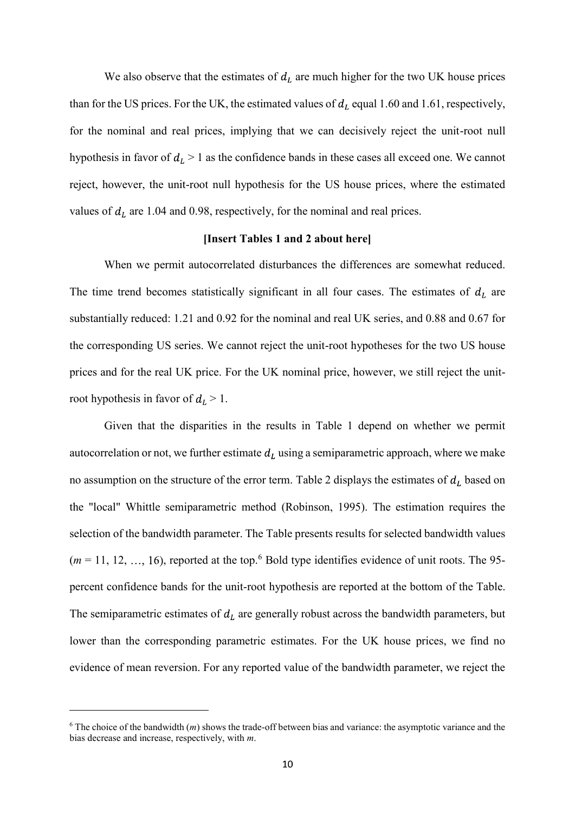We also observe that the estimates of  $d<sub>L</sub>$  are much higher for the two UK house prices than for the US prices. For the UK, the estimated values of  $d<sub>L</sub>$  equal 1.60 and 1.61, respectively, for the nominal and real prices, implying that we can decisively reject the unit-root null hypothesis in favor of  $d<sub>L</sub> > 1$  as the confidence bands in these cases all exceed one. We cannot reject, however, the unit-root null hypothesis for the US house prices, where the estimated values of  $d<sub>L</sub>$  are 1.04 and 0.98, respectively, for the nominal and real prices.

## [Insert Tables 1 and 2 about here]

When we permit autocorrelated disturbances the differences are somewhat reduced. The time trend becomes statistically significant in all four cases. The estimates of  $d<sub>L</sub>$  are substantially reduced: 1.21 and 0.92 for the nominal and real UK series, and 0.88 and 0.67 for the corresponding US series. We cannot reject the unit-root hypotheses for the two US house prices and for the real UK price. For the UK nominal price, however, we still reject the unitroot hypothesis in favor of  $d_l > 1$ .

Given that the disparities in the results in Table 1 depend on whether we permit autocorrelation or not, we further estimate  $d<sub>L</sub>$  using a semiparametric approach, where we make no assumption on the structure of the error term. Table 2 displays the estimates of  $d_L$  based on the "local" Whittle semiparametric method (Robinson, 1995). The estimation requires the selection of the bandwidth parameter. The Table presents results for selected bandwidth values  $(m = 11, 12, ..., 16)$ , reported at the top.<sup>6</sup> Bold type identifies evidence of unit roots. The 95percent confidence bands for the unit-root hypothesis are reported at the bottom of the Table. prices and for the real UK price. For the UK nominal price, however, we still reject the unit-<br>root hypothesis in favor of  $d_L > 1$ .<br>Given that the disparities in the results in Table 1 depend on whether we permit<br>autocorr lower than the corresponding parametric estimates. For the UK house prices, we find no evidence of mean reversion. For any reported value of the bandwidth parameter, we reject the

 $6$  The choice of the bandwidth  $(m)$  shows the trade-off between bias and variance: the asymptotic variance and the bias decrease and increase, respectively, with m.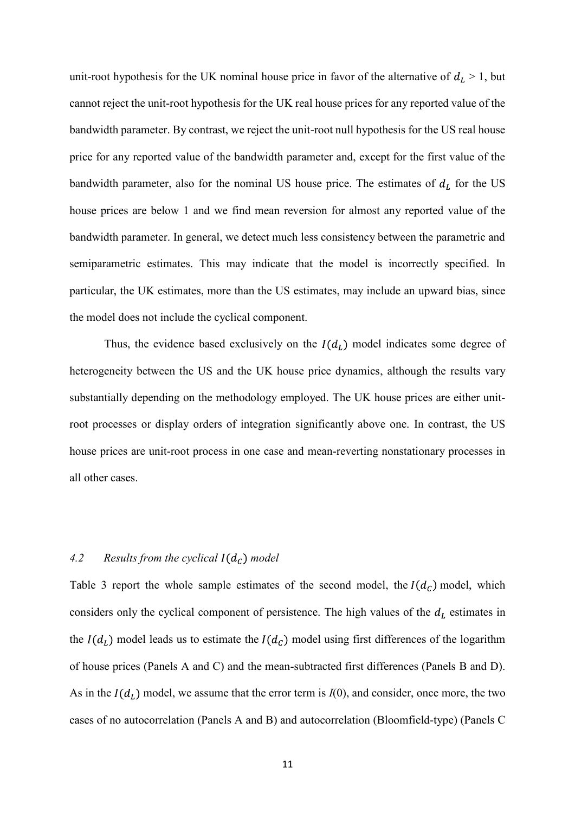unit-root hypothesis for the UK nominal house price in favor of the alternative of  $d_L > 1$ , but<br>cannot reject the unit-root hypothesis for the UK real house prices for any reported value of the<br>bandwidth parameter. By con cannot reject the unit-root hypothesis for the UK real house prices for any reported value of the bandwidth parameter. By contrast, we reject the unit-root null hypothesis for the US real house price for any reported value of the bandwidth parameter and, except for the first value of the bandwidth parameter, also for the nominal US house price. The estimates of  $d<sub>L</sub>$  for the US house prices are below 1 and we find mean reversion for almost any reported value of the bandwidth parameter. In general, we detect much less consistency between the parametric and unit-root hypothesis for the UK nominal house price in favor of the alternative of  $d_L > 1$ , but<br>cannot reject the unit-root hypothesis for the UK real house prices for any reported value of the<br>bandwidth parameter. By con particular, the UK estimates, more than the US estimates, may include an upward bias, since the model does not include the cyclical component. bandwidth parameter. By contrast, we reject the unit-root null hypothesis for the US real house<br>price for any reported value of the bandwidth parameter and, except for the first value of the<br>bandwidth parameter, also for

Thus, the evidence based exclusively on the  $I(d_L)$  model indicates some degree of substantially depending on the methodology employed. The UK house prices are either unitroot processes or display orders of integration significantly above one. In contrast, the US house prices are unit-root process in one case and mean-reverting nonstationary processes in all other cases.

## 4.2 Results from the cyclical  $I(d_C)$  model

Table 3 report the whole sample estimates of the second model, the  $I(d_C)$  model, which considers only the cyclical component of persistence. The high values of the  $d_L$  estimates in the  $I(d_L)$  model leads us to estimate the  $I(d_C)$  model using first differences of the logarithm of house prices (Panels A and C) and the mean-subtracted first differences (Panels B and D). As in the  $I(d_L)$  model, we assume that the error term is  $I(0)$ , and consider, once more, the two cases of no autocorrelation (Panels A and B) and autocorrelation (Bloomfield-type) (Panels C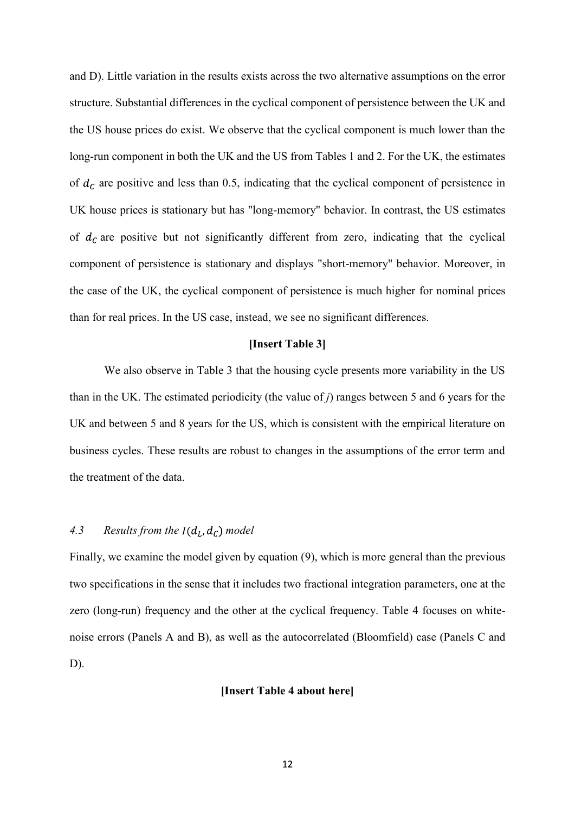and D). Little variation in the results exists across the two alternative assumptions on the error structure. Substantial differences in the cyclical component of persistence between the UK and the US house prices do exist. We observe that the cyclical component is much lower than the long-run component in both the UK and the US from Tables 1 and 2. For the UK, the estimates of  $d<sub>c</sub>$  are positive and less than 0.5, indicating that the cyclical component of persistence in UK house prices is stationary but has "long-memory" behavior. In contrast, the US estimates of  $d<sub>c</sub>$  are positive but not significantly different from zero, indicating that the cyclical component of persistence is stationary and displays "short-memory" behavior. Moreover, in the case of the UK, the cyclical component of persistence is much higher for nominal prices than for real prices. In the US case, instead, we see no significant differences.

### [Insert Table 3]

We also observe in Table 3 that the housing cycle presents more variability in the US than in the UK. The estimated periodicity (the value of j) ranges between 5 and 6 years for the UK and between 5 and 8 years for the US, which is consistent with the empirical literature on business cycles. These results are robust to changes in the assumptions of the error term and the treatment of the data.

# 4.3 Results from the  $I(d_L, d_C)$  model

Finally, we examine the model given by equation (9), which is more general than the previous two specifications in the sense that it includes two fractional integration parameters, one at the zero (long-run) frequency and the other at the cyclical frequency. Table 4 focuses on whitenoise errors (Panels A and B), as well as the autocorrelated (Bloomfield) case (Panels C and D).

## [Insert Table 4 about here]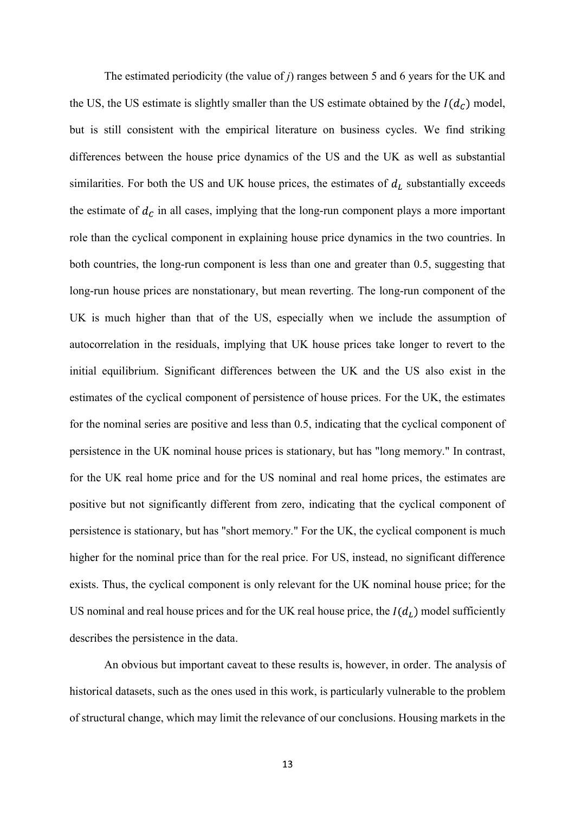The estimated periodicity (the value of  $j$ ) ranges between 5 and 6 years for the UK and the US, the US estimate is slightly smaller than the US estimate obtained by the  $I(d_C)$  model, but is still consistent with the empirical literature on business cycles. We find striking differences between the house price dynamics of the US and the UK as well as substantial similarities. For both the US and UK house prices, the estimates of  $d<sub>L</sub>$  substantially exceeds the estimate of  $d_c$  in all cases, implying that the long-run component plays a more important role than the cyclical component in explaining house price dynamics in the two countries. In both countries, the long-run component is less than one and greater than 0.5, suggesting that The estimated periodicity (the value of *j*) ranges between 5 and 6 years for the UK and<br>the US, the US estimate is slightly smaller than the US estimate obtained by the  $I(d_C)$  model,<br>but is still consistent with the empi UK is much higher than that of the US, especially when we include the assumption of autocorrelation in the residuals, implying that UK house prices take longer to revert to the initial equilibrium. Significant differences between the UK and the US also exist in the estimates of the cyclical component of persistence of house prices. For the UK, the estimates for the nominal series are positive and less than 0.5, indicating that the cyclical component of persistence in the UK nominal house prices is stationary, but has "long memory." In contrast, for the UK real home price and for the US nominal and real home prices, the estimates are positive but not significantly different from zero, indicating that the cyclical component of persistence is stationary, but has "short memory." For the UK, the cyclical component is much higher for the nominal price than for the real price. For US, instead, no significant difference exists. Thus, the cyclical component is only relevant for the UK nominal house price; for the US nominal and real house prices and for the UK real house price, the  $I(d_L)$  model sufficiently describes the persistence in the data.

An obvious but important caveat to these results is, however, in order. The analysis of historical datasets, such as the ones used in this work, is particularly vulnerable to the problem of structural change, which may limit the relevance of our conclusions. Housing markets in the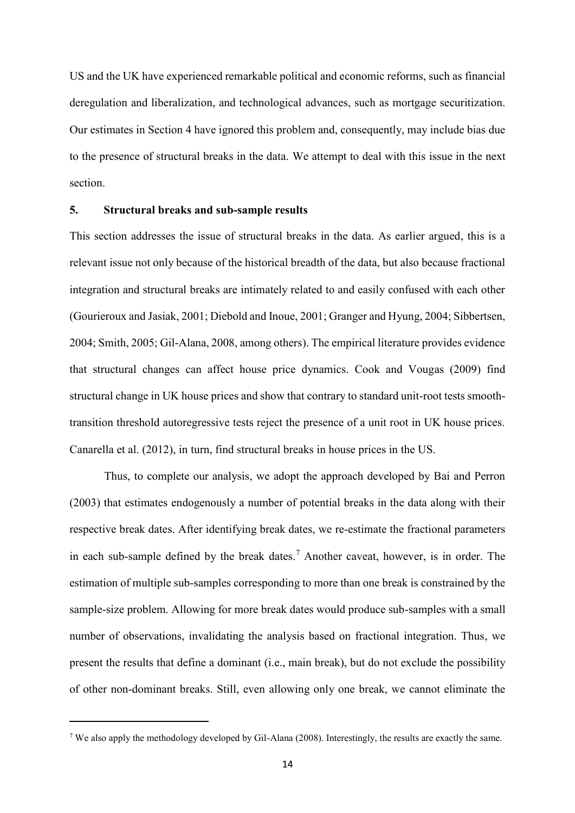US and the UK have experienced remarkable political and economic reforms, such as financial deregulation and liberalization, and technological advances, such as mortgage securitization. Our estimates in Section 4 have ignored this problem and, consequently, may include bias due to the presence of structural breaks in the data. We attempt to deal with this issue in the next section.

## 5. Structural breaks and sub-sample results

This section addresses the issue of structural breaks in the data. As earlier argued, this is a relevant issue not only because of the historical breadth of the data, but also because fractional integration and structural breaks are intimately related to and easily confused with each other (Gourieroux and Jasiak, 2001; Diebold and Inoue, 2001; Granger and Hyung, 2004; Sibbertsen, 2004; Smith, 2005; Gil-Alana, 2008, among others). The empirical literature provides evidence that structural changes can affect house price dynamics. Cook and Vougas (2009) find structural change in UK house prices and show that contrary to standard unit-root tests smoothtransition threshold autoregressive tests reject the presence of a unit root in UK house prices. Canarella et al. (2012), in turn, find structural breaks in house prices in the US.

Thus, to complete our analysis, we adopt the approach developed by Bai and Perron (2003) that estimates endogenously a number of potential breaks in the data along with their respective break dates. After identifying break dates, we re-estimate the fractional parameters in each sub-sample defined by the break dates.<sup>7</sup> Another caveat, however, is in order. The estimation of multiple sub-samples corresponding to more than one break is constrained by the sample-size problem. Allowing for more break dates would produce sub-samples with a small structural change in UK house prices and show that contrary to standard unit-root tests smooth-<br>transition threshold autoregressive tests reject the presence of a unit root in UK house prices.<br>Canarella et al. (2012), in t present the results that define a dominant (i.e., main break), but do not exclude the possibility of other non-dominant breaks. Still, even allowing only one break, we cannot eliminate the 7

<sup>&</sup>lt;sup>7</sup> We also apply the methodology developed by Gil-Alana (2008). Interestingly, the results are exactly the same.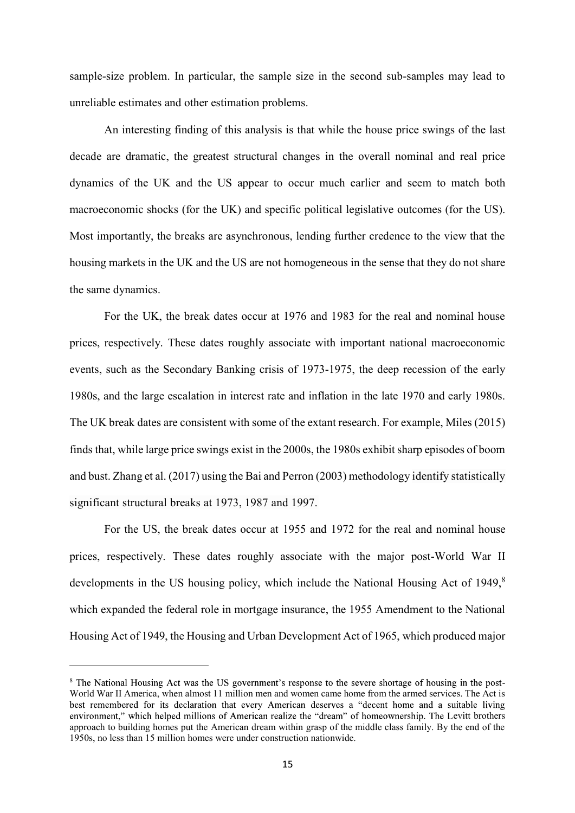sample-size problem. In particular, the sample size in the second sub-samples may lead to unreliable estimates and other estimation problems.

An interesting finding of this analysis is that while the house price swings of the last decade are dramatic, the greatest structural changes in the overall nominal and real price dynamics of the UK and the US appear to occur much earlier and seem to match both macroeconomic shocks (for the UK) and specific political legislative outcomes (for the US). Most importantly, the breaks are asynchronous, lending further credence to the view that the housing markets in the UK and the US are not homogeneous in the sense that they do not share the same dynamics.

For the UK, the break dates occur at 1976 and 1983 for the real and nominal house prices, respectively. These dates roughly associate with important national macroeconomic events, such as the Secondary Banking crisis of 1973-1975, the deep recession of the early 1980s, and the large escalation in interest rate and inflation in the late 1970 and early 1980s. The UK break dates are consistent with some of the extant research. For example, Miles (2015) finds that, while large price swings exist in the 2000s, the 1980s exhibit sharp episodes of boom and bust. Zhang et al. (2017) using the Bai and Perron (2003) methodology identify statistically significant structural breaks at 1973, 1987 and 1997.

For the US, the break dates occur at 1955 and 1972 for the real and nominal house prices, respectively. These dates roughly associate with the major post-World War II developments in the US housing policy, which include the National Housing Act of 1949, $\frac{8}{3}$ which expanded the federal role in mortgage insurance, the 1955 Amendment to the National Housing Act of 1949, the Housing and Urban Development Act of 1965, which produced major

<sup>&</sup>lt;sup>8</sup> The National Housing Act was the US government's response to the severe shortage of housing in the poste in de la provincia del World War II America, when almost 11 million men and women came home from the armed services. The Act is best remembered for its declaration that every American deserves a "decent home and a suitable living environment," which helped millions of American realize the "dream" of homeownership. The Levitt brothers approach to building homes put the American dream within grasp of the middle class family. By the end of the 1950s, no less than 15 million homes were under construction nationwide.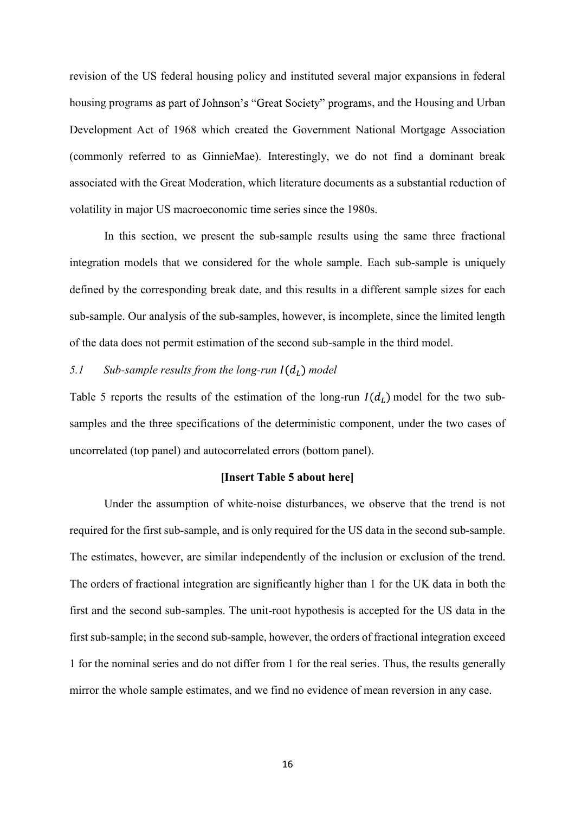revision of the US federal housing policy and instituted several major expansions in federal housing programs as part of Johnson's "Great Society" programs, and the Housing and Urban Development Act of 1968 which created the Government National Mortgage Association (commonly referred to as GinnieMae). Interestingly, we do not find a dominant break associated with the Great Moderation, which literature documents as a substantial reduction of volatility in major US macroeconomic time series since the 1980s.

In this section, we present the sub-sample results using the same three fractional integration models that we considered for the whole sample. Each sub-sample is uniquely defined by the corresponding break date, and this results in a different sample sizes for each sub-sample. Our analysis of the sub-samples, however, is incomplete, since the limited length of the data does not permit estimation of the second sub-sample in the third model. (commonly referred to as GinnieMae). Interestingly, we do not find a dominant break<br>associated with the Great Moderation, which literature documents as a substantial reduction of<br>volatility in major US macroeconomic time

# 5.1 Sub-sample results from the long-run  $I(d_L)$  model

samples and the three specifications of the deterministic component, under the two cases of uncorrelated (top panel) and autocorrelated errors (bottom panel).

# [Insert Table 5 about here]

Under the assumption of white-noise disturbances, we observe that the trend is not required for the first sub-sample, and is only required for the US data in the second sub-sample. The estimates, however, are similar independently of the inclusion or exclusion of the trend. The orders of fractional integration are significantly higher than 1 for the UK data in both the first and the second sub-samples. The unit-root hypothesis is accepted for the US data in the first sub-sample; in the second sub-sample, however, the orders of fractional integration exceed 1 for the nominal series and do not differ from 1 for the real series. Thus, the results generally mirror the whole sample estimates, and we find no evidence of mean reversion in any case.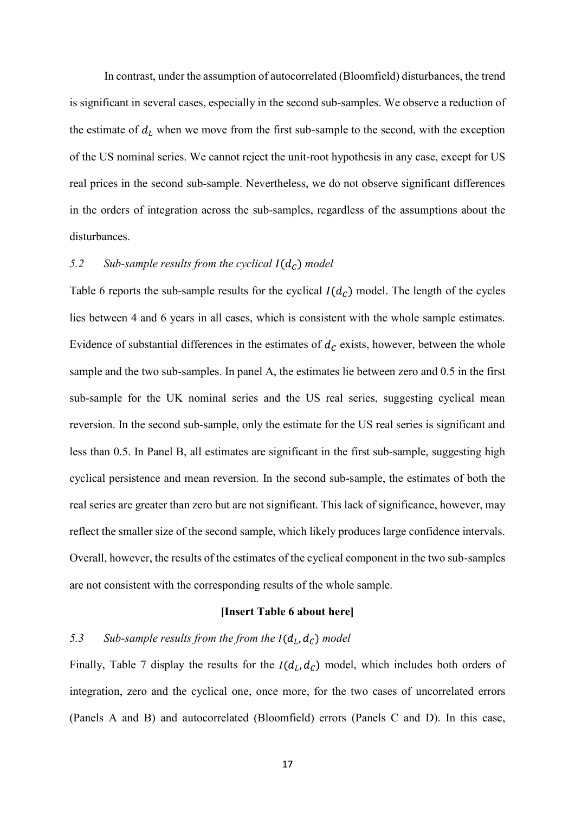In contrast, under the assumption of autocorrelated (Bloomfield) disturbances, the trend is significant in several cases, especially in the second sub-samples. We observe a reduction of the estimate of  $d_L$  when we move from the first sub-sample to the second, with the exception of the US nominal series. We cannot reject the unit-root hypothesis in any case, except for US real prices in the second sub-sample. Nevertheless, we do not observe significant differences in the orders of integration across the sub-samples, regardless of the assumptions about the disturbances.

# 5.2 Sub-sample results from the cyclical  $I(d_c)$  model

Table 6 reports the sub-sample results for the cyclical  $I(d_C)$  model. The length of the cycles lies between 4 and 6 years in all cases, which is consistent with the whole sample estimates. Evidence of substantial differences in the estimates of  $d<sub>c</sub>$  exists, however, between the whole sample and the two sub-samples. In panel A, the estimates lie between zero and 0.5 in the first sub-sample for the UK nominal series and the US real series, suggesting cyclical mean reversion. In the second sub-sample, only the estimate for the US real series is significant and less than 0.5. In Panel B, all estimates are significant in the first sub-sample, suggesting high cyclical persistence and mean reversion. In the second sub-sample, the estimates of both the 5.2 Sub-sample results from the cyclical  $I(d_C)$  model<br>Table 6 reports the sub-sample results for the cyclical  $I(d_C)$  model. The length of the cycles<br>lies between 4 and 6 years in all eases, which is consistent with the wh reflect the smaller size of the second sample, which likely produces large confidence intervals. Overall, however, the results of the estimates of the cyclical component in the two sub-samples are not consistent with the corresponding results of the whole sample.

#### [Insert Table 6 about here]

## 5.3 Sub-sample results from the from the  $I(d_L, d_C)$  model

Finally, Table 7 display the results for the  $I(d_L, d_C)$  model, which includes both orders of integration, zero and the cyclical one, once more, for the two cases of uncorrelated errors (Panels A and B) and autocorrelated (Bloomfield) errors (Panels C and D). In this case,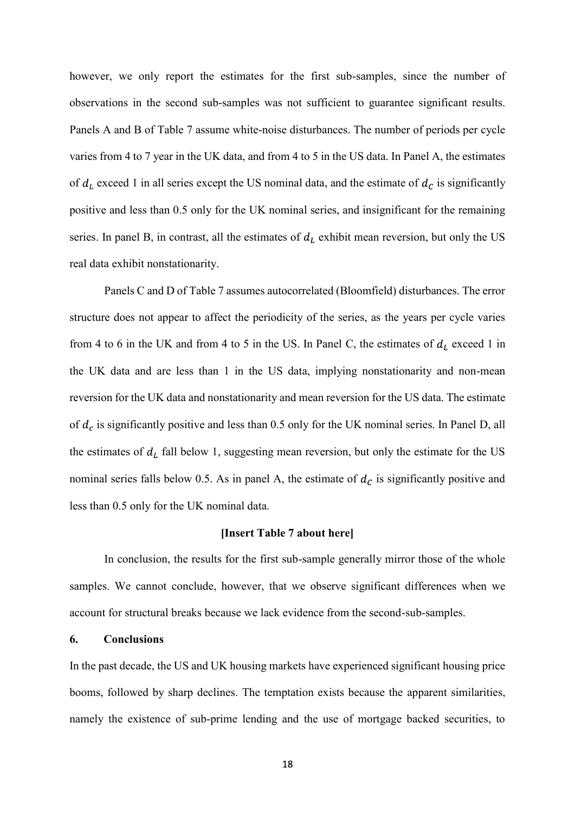however, we only report the estimates for the first sub-samples, since the number of observations in the second sub-samples was not sufficient to guarantee significant results. Panels A and B of Table 7 assume white-noise disturbances. The number of periods per cycle varies from 4 to 7 year in the UK data, and from 4 to 5 in the US data. In Panel A, the estimates of  $d_L$  exceed 1 in all series except the US nominal data, and the estimate of  $d_C$  is significantly positive and less than 0.5 only for the UK nominal series, and insignificant for the remaining series. In panel B, in contrast, all the estimates of  $d<sub>L</sub>$  exhibit mean reversion, but only the US real data exhibit nonstationarity. observations in the second sub-samples was not sufficient to guarantee significant results.<br>
Panels A and B of Table 7 assume white-noise disturbances. The number of periods per cycle<br>
varies from 4 to 7 year in the UK da

Panels C and D of Table 7 assumes autocorrelated (Bloomfield) disturbances. The error structure does not appear to affect the periodicity of the series, as the years per cycle varies the UK data and are less than 1 in the US data, implying nonstationarity and non-mean reversion for the UK data and nonstationarity and mean reversion for the US data. The estimate of  $d_L$  exceed 1 in all series except the US nominal data, and the estimate of  $d_C$  is significantly<br>positive and less than 0.5 only for the UK nominal series, and insignificant for the remaining<br>series. In panel B, in co the estimates of  $d_L$  fall below 1, suggesting mean reversion, but only the estimate for the US nominal series falls below 0.5. As in panel A, the estimate of  $d<sub>c</sub>$  is significantly positive and less than 0.5 only for the UK nominal data.

## [Insert Table 7 about here]

In conclusion, the results for the first sub-sample generally mirror those of the whole samples. We cannot conclude, however, that we observe significant differences when we account for structural breaks because we lack evidence from the second-sub-samples.

## 6. Conclusions

In the past decade, the US and UK housing markets have experienced significant housing price booms, followed by sharp declines. The temptation exists because the apparent similarities, namely the existence of sub-prime lending and the use of mortgage backed securities, to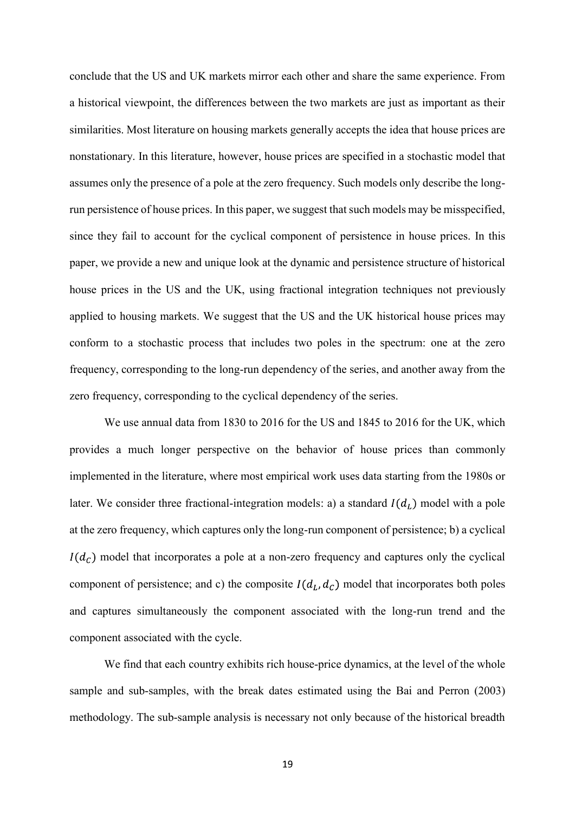conclude that the US and UK markets mirror each other and share the same experience. From a historical viewpoint, the differences between the two markets are just as important as their similarities. Most literature on housing markets generally accepts the idea that house prices are nonstationary. In this literature, however, house prices are specified in a stochastic model that assumes only the presence of a pole at the zero frequency. Such models only describe the longrun persistence of house prices. In this paper, we suggest that such models may be misspecified, since they fail to account for the cyclical component of persistence in house prices. In this paper, we provide a new and unique look at the dynamic and persistence structure of historical house prices in the US and the UK, using fractional integration techniques not previously applied to housing markets. We suggest that the US and the UK historical house prices may conform to a stochastic process that includes two poles in the spectrum: one at the zero frequency, corresponding to the long-run dependency of the series, and another away from the zero frequency, corresponding to the cyclical dependency of the series.

We use annual data from 1830 to 2016 for the US and 1845 to 2016 for the UK, which provides a much longer perspective on the behavior of house prices than commonly implemented in the literature, where most empirical work uses data starting from the 1980s or later. We consider three fractional-integration models: a) a standard  $I(d_L)$  model with a pole at the zero frequency, which captures only the long-run component of persistence; b) a cyclical  $I(d<sub>c</sub>)$  model that incorporates a pole at a non-zero frequency and captures only the cyclical component of persistence; and c) the composite  $I(d_L, d_C)$  model that incorporates both poles and captures simultaneously the component associated with the long-run trend and the component associated with the cycle.

We find that each country exhibits rich house-price dynamics, at the level of the whole sample and sub-samples, with the break dates estimated using the Bai and Perron (2003) methodology. The sub-sample analysis is necessary not only because of the historical breadth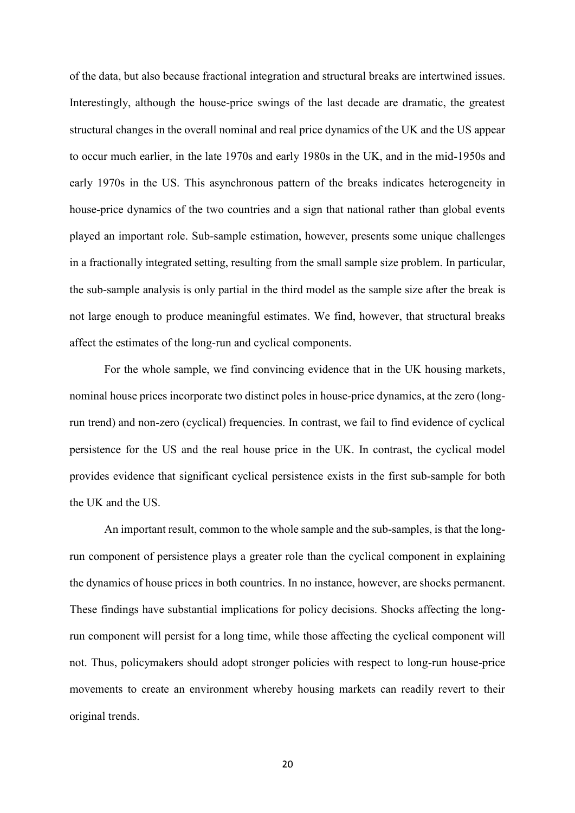of the data, but also because fractional integration and structural breaks are intertwined issues. Interestingly, although the house-price swings of the last decade are dramatic, the greatest structural changes in the overall nominal and real price dynamics of the UK and the US appear to occur much earlier, in the late 1970s and early 1980s in the UK, and in the mid-1950s and early 1970s in the US. This asynchronous pattern of the breaks indicates heterogeneity in house-price dynamics of the two countries and a sign that national rather than global events played an important role. Sub-sample estimation, however, presents some unique challenges in a fractionally integrated setting, resulting from the small sample size problem. In particular, of the data, but also because fractional integration and structural breaks are intertwined issues.<br>Interestingly, although the house-price swings of the last decade are dramatic, the greatest<br>structural changes in the over not large enough to produce meaningful estimates. We find, however, that structural breaks affect the estimates of the long-run and cyclical components.

For the whole sample, we find convincing evidence that in the UK housing markets, nominal house prices incorporate two distinct poles in house-price dynamics, at the zero (longrun trend) and non-zero (cyclical) frequencies. In contrast, we fail to find evidence of cyclical persistence for the US and the real house price in the UK. In contrast, the cyclical model played an important role. Sub-sample estimation, however, presents some unique challenges<br>in a fractionally integrated setting, resulting from the small sample size problem. In particular,<br>the sub-sample analysis is only p the UK and the US.

An important result, common to the whole sample and the sub-samples, is that the longrun component of persistence plays a greater role than the cyclical component in explaining the dynamics of house prices in both countries. In no instance, however, are shocks permanent. These findings have substantial implications for policy decisions. Shocks affecting the longrun component will persist for a long time, while those affecting the cyclical component will not. Thus, policymakers should adopt stronger policies with respect to long-run house-price movements to create an environment whereby housing markets can readily revert to their original trends.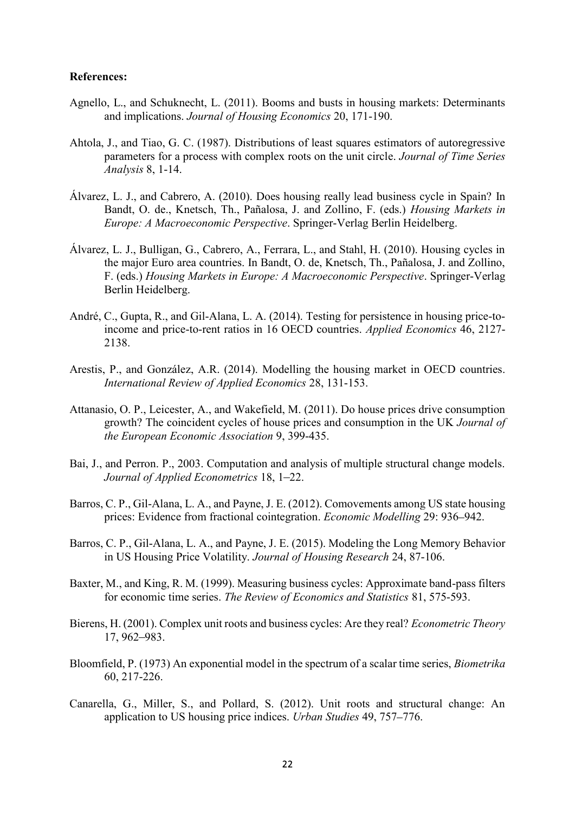# References:

- Agnello, L., and Schuknecht, L. (2011). Booms and busts in housing markets: Determinants and implications. Journal of Housing Economics 20, 171-190.
- Ahtola, J., and Tiao, G. C. (1987). Distributions of least squares estimators of autoregressive parameters for a process with complex roots on the unit circle. Journal of Time Series Analysis 8, 1-14.
- Álvarez, L. J., and Cabrero, A. (2010). Does housing really lead business cycle in Spain? In Bandt, O. de., Knetsch, Th., Pañalosa, J. and Zollino, F. (eds.) Housing Markets in Europe: A Macroeconomic Perspective. Springer-Verlag Berlin Heidelberg.
- Álvarez, L. J., Bulligan, G., Cabrero, A., Ferrara, L., and Stahl, H. (2010). Housing cycles in the major Euro area countries. In Bandt, O. de, Knetsch, Th., Pañalosa, J. and Zollino, F. (eds.) Housing Markets in Europe: A Macroeconomic Perspective. Springer-Verlag Berlin Heidelberg.
- André, C., Gupta, R., and Gil-Alana, L. A. (2014). Testing for persistence in housing price-toincome and price-to-rent ratios in 16 OECD countries. Applied Economics 46, 2127- 2138.
- Arestis, P., and González, A.R. (2014). Modelling the housing market in OECD countries. International Review of Applied Economics 28, 131-153.
- Attanasio, O. P., Leicester, A., and Wakefield, M. (2011). Do house prices drive consumption growth? The coincident cycles of house prices and consumption in the UK Journal of the European Economic Association 9, 399-435.
- Bai, J., and Perron. P., 2003. Computation and analysis of multiple structural change models. Journal of Applied Econometrics 18, 1-22.
- Barros, C. P., Gil-Alana, L. A., and Payne, J. E. (2012). Comovements among US state housing prices: Evidence from fractional cointegration. *Economic Modelling* 29: 936–942.
- Barros, C. P., Gil-Alana, L. A., and Payne, J. E. (2015). Modeling the Long Memory Behavior in US Housing Price Volatility. Journal of Housing Research 24, 87-106.
- Baxter, M., and King, R. M. (1999). Measuring business cycles: Approximate band-pass filters for economic time series. The Review of Economics and Statistics 81, 575-593.
- Bierens, H. (2001). Complex unit roots and business cycles: Are they real? Econometric Theory 17, 962-983.
- Bloomfield, P. (1973) An exponential model in the spectrum of a scalar time series, Biometrika 60, 217-226.
- Canarella, G., Miller, S., and Pollard, S. (2012). Unit roots and structural change: An application to US housing price indices. *Urban Studies* 49, 757–776.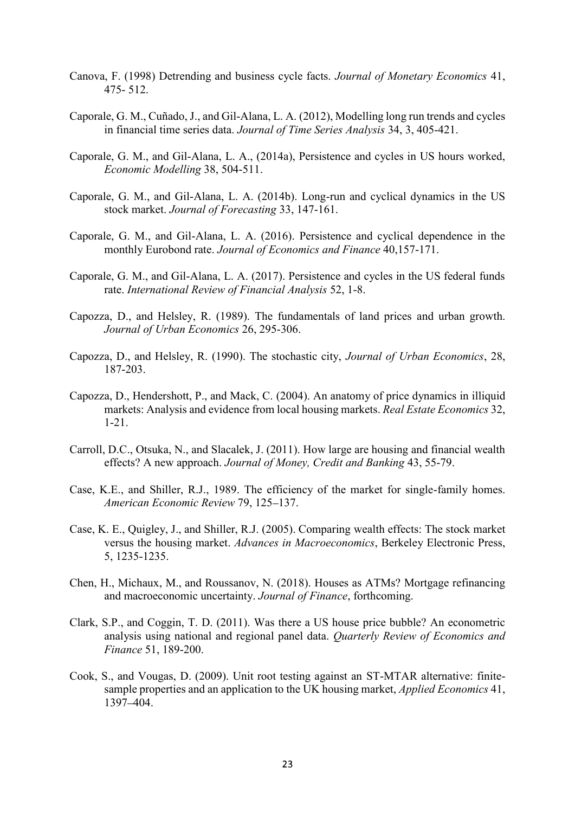- Canova, F. (1998) Detrending and business cycle facts. Journal of Monetary Economics 41, 475- 512.
- Caporale, G. M., Cuñado, J., and Gil-Alana, L. A. (2012), Modelling long run trends and cycles in financial time series data. Journal of Time Series Analysis 34, 3, 405-421.
- Caporale, G. M., and Gil-Alana, L. A., (2014a), Persistence and cycles in US hours worked, Economic Modelling 38, 504-511.
- Caporale, G. M., and Gil-Alana, L. A. (2014b). Long-run and cyclical dynamics in the US stock market. Journal of Forecasting 33, 147-161.
- Caporale, G. M., and Gil-Alana, L. A. (2016). Persistence and cyclical dependence in the monthly Eurobond rate. Journal of Economics and Finance 40,157-171.
- Caporale, G. M., and Gil-Alana, L. A. (2017). Persistence and cycles in the US federal funds rate. International Review of Financial Analysis 52, 1-8.
- Capozza, D., and Helsley, R. (1989). The fundamentals of land prices and urban growth. Journal of Urban Economics 26, 295-306.
- Capozza, D., and Helsley, R. (1990). The stochastic city, Journal of Urban Economics, 28, 187-203.
- Capozza, D., Hendershott, P., and Mack, C. (2004). An anatomy of price dynamics in illiquid markets: Analysis and evidence from local housing markets. Real Estate Economics 32, 1-21.
- Carroll, D.C., Otsuka, N., and Slacalek, J. (2011). How large are housing and financial wealth effects? A new approach. Journal of Money, Credit and Banking 43, 55-79.
- Case, K.E., and Shiller, R.J., 1989. The efficiency of the market for single-family homes. American Economic Review 79, 125-137.
- Case, K. E., Quigley, J., and Shiller, R.J. (2005). Comparing wealth effects: The stock market versus the housing market. Advances in Macroeconomics, Berkeley Electronic Press, 5, 1235-1235.
- Chen, H., Michaux, M., and Roussanov, N. (2018). Houses as ATMs? Mortgage refinancing and macroeconomic uncertainty. Journal of Finance, forthcoming.
- Clark, S.P., and Coggin, T. D. (2011). Was there a US house price bubble? An econometric analysis using national and regional panel data. Quarterly Review of Economics and Finance 51, 189-200.
- Cook, S., and Vougas, D. (2009). Unit root testing against an ST-MTAR alternative: finitesample properties and an application to the UK housing market, Applied Economics 41, 1397-404.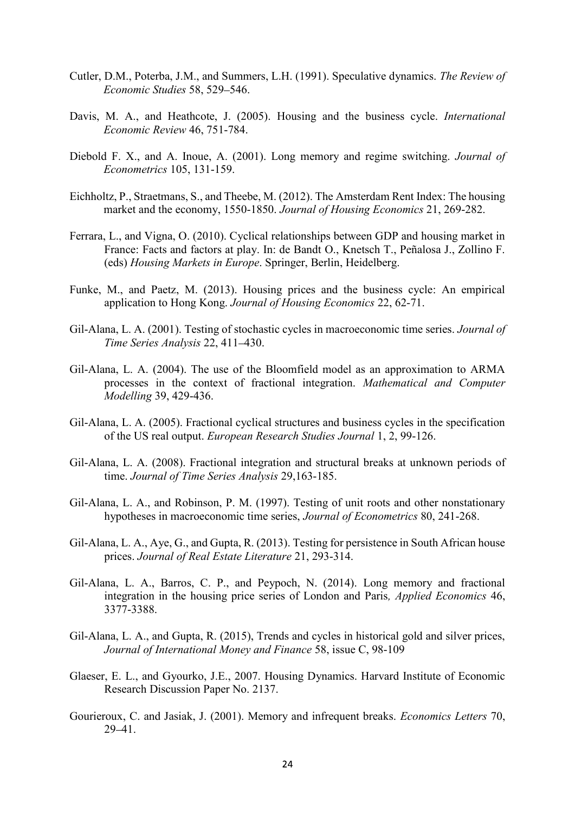- Cutler, D.M., Poterba, J.M., and Summers, L.H. (1991). Speculative dynamics. The Review of Economic Studies 58, 529-546.
- Davis, M. A., and Heathcote, J. (2005). Housing and the business cycle. International Economic Review 46, 751-784.
- Diebold F. X., and A. Inoue, A. (2001). Long memory and regime switching. Journal of Econometrics 105, 131-159.
- Eichholtz, P., Straetmans, S., and Theebe, M. (2012). The Amsterdam Rent Index: The housing market and the economy, 1550-1850. Journal of Housing Economics 21, 269-282.
- Ferrara, L., and Vigna, O. (2010). Cyclical relationships between GDP and housing market in France: Facts and factors at play. In: de Bandt O., Knetsch T., Peñalosa J., Zollino F. (eds) Housing Markets in Europe. Springer, Berlin, Heidelberg.
- Funke, M., and Paetz, M. (2013). Housing prices and the business cycle: An empirical application to Hong Kong. Journal of Housing Economics 22, 62-71.
- Gil-Alana, L. A. (2001). Testing of stochastic cycles in macroeconomic time series. Journal of Time Series Analysis 22, 411-430.
- Gil-Alana, L. A. (2004). The use of the Bloomfield model as an approximation to ARMA processes in the context of fractional integration. Mathematical and Computer Modelling 39, 429-436.
- Gil-Alana, L. A. (2005). Fractional cyclical structures and business cycles in the specification of the US real output. European Research Studies Journal 1, 2, 99-126.
- Gil-Alana, L. A. (2008). Fractional integration and structural breaks at unknown periods of time. Journal of Time Series Analysis 29,163-185.
- Gil-Alana, L. A., and Robinson, P. M. (1997). Testing of unit roots and other nonstationary hypotheses in macroeconomic time series, Journal of Econometrics 80, 241-268.
- Gil-Alana, L. A., Aye, G., and Gupta, R. (2013). Testing for persistence in South African house prices. Journal of Real Estate Literature 21, 293-314.
- Gil-Alana, L. A., Barros, C. P., and Peypoch, N. (2014). Long memory and fractional integration in the housing price series of London and Paris, Applied Economics 46, 3377-3388.
- Gil-Alana, L. A., and Gupta, R. (2015), Trends and cycles in historical gold and silver prices, Journal of International Money and Finance 58, issue C, 98-109
- Glaeser, E. L., and Gyourko, J.E., 2007. Housing Dynamics. Harvard Institute of Economic Research Discussion Paper No. 2137.
- Gourieroux, C. and Jasiak, J. (2001). Memory and infrequent breaks. Economics Letters 70,  $29 - 41$ .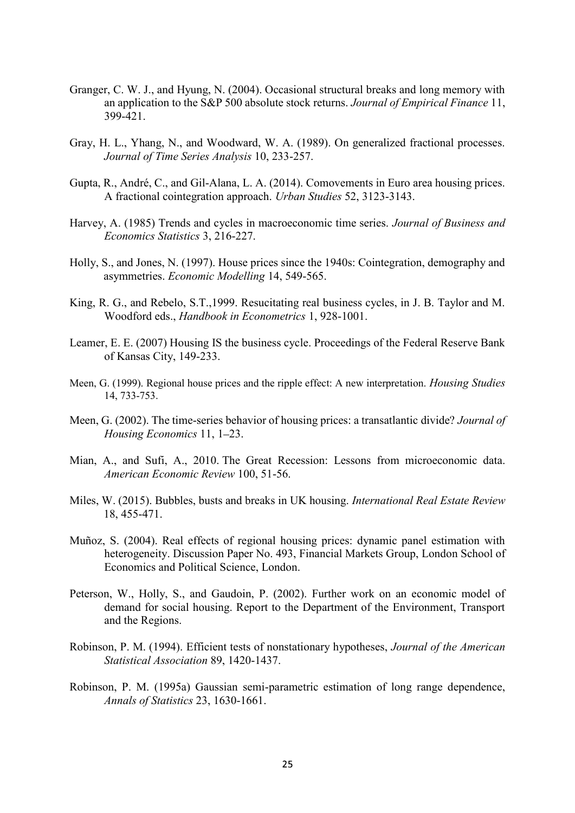- Granger, C. W. J., and Hyung, N. (2004). Occasional structural breaks and long memory with an application to the S&P 500 absolute stock returns. Journal of Empirical Finance 11, 399-421.
- Gray, H. L., Yhang, N., and Woodward, W. A. (1989). On generalized fractional processes. Journal of Time Series Analysis 10, 233-257.
- Gupta, R., André, C., and Gil-Alana, L. A. (2014). Comovements in Euro area housing prices. A fractional cointegration approach. Urban Studies 52, 3123-3143.
- Harvey, A. (1985) Trends and cycles in macroeconomic time series. Journal of Business and Economics Statistics 3, 216-227.
- Holly, S., and Jones, N. (1997). House prices since the 1940s: Cointegration, demography and asymmetries. Economic Modelling 14, 549-565.
- King, R. G., and Rebelo, S.T.,1999. Resucitating real business cycles, in J. B. Taylor and M. Woodford eds., Handbook in Econometrics 1, 928-1001.
- Leamer, E. E. (2007) Housing IS the business cycle. Proceedings of the Federal Reserve Bank of Kansas City, 149-233.
- Meen, G. (1999). Regional house prices and the ripple effect: A new interpretation. Housing Studies 14, 733-753.
- Meen, G. (2002). The time-series behavior of housing prices: a transatlantic divide? Journal of Housing Economics 11, 1–23. Harvey, A. (1985) Trends and cycles in macroeconomic time series. Journal of Business and<br>
Economics Statistics 3, 216-227.<br>
Holly, S., and Jones, N. (1997). House prices since the 1940s: Cointegration, demography and<br>
asy
- American Economic Review 100, 51-56.
- Miles, W. (2015). Bubbles, busts and breaks in UK housing. International Real Estate Review 18, 455-471.
- Muñoz, S. (2004). Real effects of regional housing prices: dynamic panel estimation with heterogeneity. Discussion Paper No. 493, Financial Markets Group, London School of Economics and Political Science, London.
- Peterson, W., Holly, S., and Gaudoin, P. (2002). Further work on an economic model of demand for social housing. Report to the Department of the Environment, Transport and the Regions.
- Robinson, P. M. (1994). Efficient tests of nonstationary hypotheses, Journal of the American Statistical Association 89, 1420-1437.
- Robinson, P. M. (1995a) Gaussian semi-parametric estimation of long range dependence, Annals of Statistics 23, 1630-1661.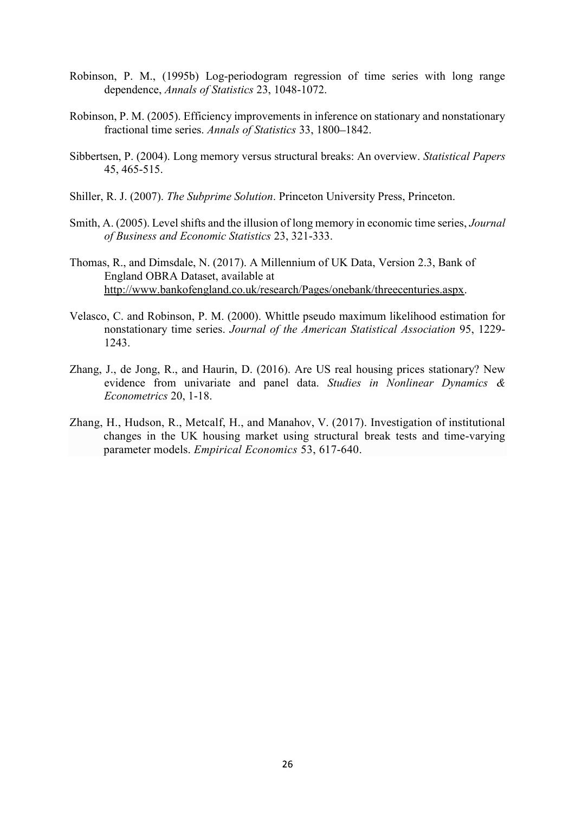- Robinson, P. M., (1995b) Log-periodogram regression of time series with long range dependence, Annals of Statistics 23, 1048-1072.
- Robinson, P. M. (2005). Efficiency improvements in inference on stationary and nonstationary fractional time series. Annals of Statistics 33, 1800-1842.
- Sibbertsen, P. (2004). Long memory versus structural breaks: An overview. Statistical Papers 45, 465-515.
- Shiller, R. J. (2007). The Subprime Solution. Princeton University Press, Princeton.
- Smith, A. (2005). Level shifts and the illusion of long memory in economic time series, Journal of Business and Economic Statistics 23, 321-333.
- Thomas, R., and Dimsdale, N. (2017). A Millennium of UK Data, Version 2.3, Bank of England OBRA Dataset, available at http://www.bankofengland.co.uk/research/Pages/onebank/threecenturies.aspx.
- Velasco, C. and Robinson, P. M. (2000). Whittle pseudo maximum likelihood estimation for nonstationary time series. Journal of the American Statistical Association 95, 1229- 1243.
- Zhang, J., de Jong, R., and Haurin, D. (2016). Are US real housing prices stationary? New evidence from univariate and panel data. Studies in Nonlinear Dynamics & Econometrics 20, 1-18.
- Zhang, H., Hudson, R., Metcalf, H., and Manahov, V. (2017). Investigation of institutional changes in the UK housing market using structural break tests and time-varying parameter models. Empirical Economics 53, 617-640.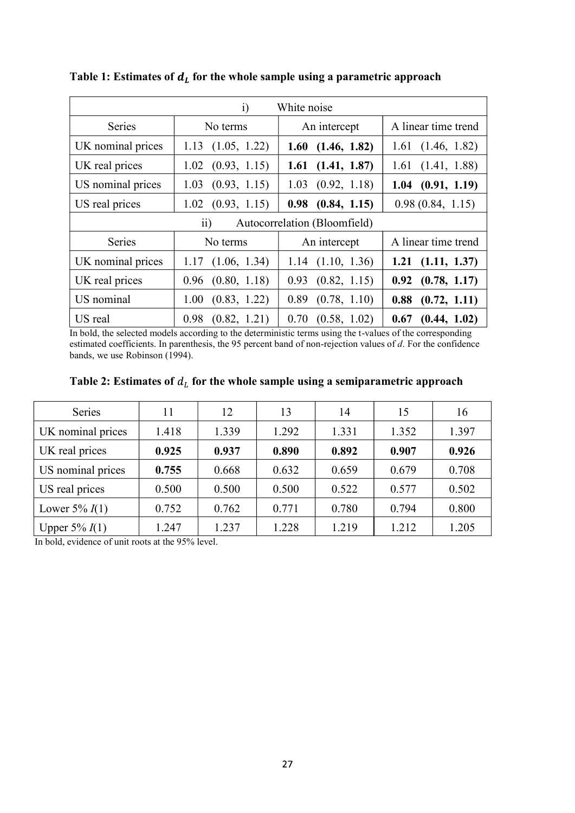| $\ddot{i}$<br>White noise                       |                      |                       |                       |  |  |  |
|-------------------------------------------------|----------------------|-----------------------|-----------------------|--|--|--|
| Series                                          | No terms             | An intercept          | A linear time trend   |  |  |  |
| UK nominal prices                               | (1.05, 1.22)<br>1.13 | (1.46, 1.82)<br>1.60  | 1.61<br>(1.46, 1.82)  |  |  |  |
| UK real prices                                  | (0.93, 1.15)<br>1.02 | (1.41, 1.87)<br>1.61  | (1.41, 1.88)<br>1.61  |  |  |  |
| US nominal prices                               | (0.93, 1.15)<br>1.03 | (0.92, 1.18)<br>1.03  | (0.91, 1.19)<br>1.04  |  |  |  |
| US real prices                                  | (0.93, 1.15)<br>1.02 | (0.84, 1.15)<br>0.98  | 0.98(0.84, 1.15)      |  |  |  |
| $\overline{ii}$<br>Autocorrelation (Bloomfield) |                      |                       |                       |  |  |  |
| Series                                          | No terms             | An intercept          | A linear time trend   |  |  |  |
| UK nominal prices                               | (1.06, 1.34)<br>1.17 | $1.14$ $(1.10, 1.36)$ | $1.21$ $(1.11, 1.37)$ |  |  |  |
| UK real prices                                  | (0.80, 1.18)<br>0.96 | 0.93<br>(0.82, 1.15)  | (0.78, 1.17)<br>0.92  |  |  |  |
| US nominal                                      | (0.83, 1.22)<br>1.00 | (0.78, 1.10)<br>0.89  | (0.72, 1.11)<br>0.88  |  |  |  |
| US real                                         | (0.82, 1.21)<br>0.98 | (0.58, 1.02)<br>0.70  | (0.44, 1.02)<br>0.67  |  |  |  |

Table 1: Estimates of  $d_L$  for the whole sample using a parametric approach

In bold, the selected models according to the deterministic terms using the t-values of the corresponding estimated coefficients. In parenthesis, the 95 percent band of non-rejection values of d. For the confidence bands, we use Robinson (1994).

| Table 2: Estimates of $d_L$ for the whole sample using a semiparametric approach |  |  |
|----------------------------------------------------------------------------------|--|--|
|                                                                                  |  |  |

| Series            | 11    | 12    | 13    | 14    | 15    | 16    |
|-------------------|-------|-------|-------|-------|-------|-------|
| UK nominal prices | 1.418 | 1.339 | 1.292 | 1.331 | 1.352 | 1.397 |
| UK real prices    | 0.925 | 0.937 | 0.890 | 0.892 | 0.907 | 0.926 |
| US nominal prices | 0.755 | 0.668 | 0.632 | 0.659 | 0.679 | 0.708 |
| US real prices    | 0.500 | 0.500 | 0.500 | 0.522 | 0.577 | 0.502 |
| Lower $5\% I(1)$  | 0.752 | 0.762 | 0.771 | 0.780 | 0.794 | 0.800 |
| Upper $5\% I(1)$  | 1.247 | 1.237 | 1.228 | 1.219 | 1.212 | 1.205 |

In bold, evidence of unit roots at the 95% level.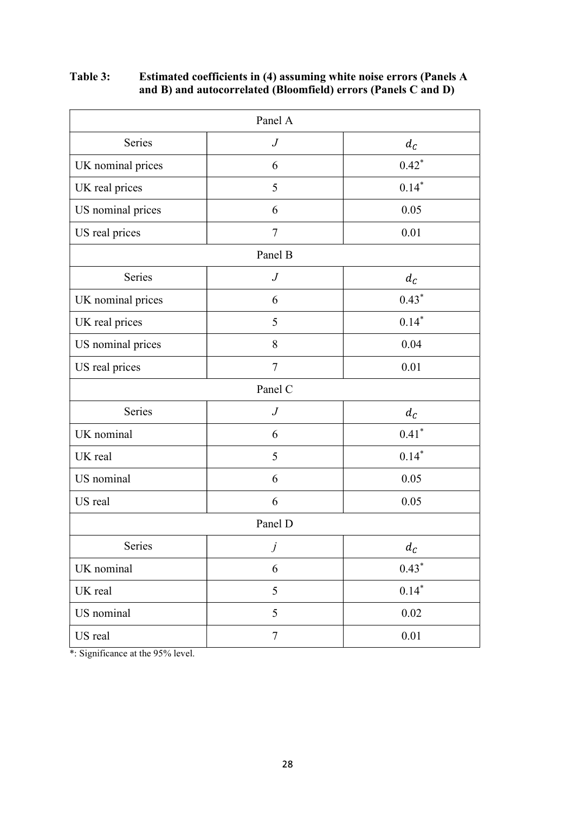Table 3: Estimated coefficients in (4) assuming white noise errors (Panels A and B) and autocorrelated (Bloomfield) errors (Panels C and D)

|                   | Panel A          |                   |
|-------------------|------------------|-------------------|
| Series            | $\boldsymbol{J}$ | $d_{\mathcal{C}}$ |
| UK nominal prices | 6                | $0.42*$           |
| UK real prices    | 5                | $0.14*$           |
| US nominal prices | 6                | 0.05              |
| US real prices    | $\tau$           | 0.01              |
|                   | Panel B          |                   |
| Series            | $\boldsymbol{J}$ | $d_{\mathcal{C}}$ |
| UK nominal prices | 6                | $0.43*$           |
| UK real prices    | 5                | $0.14*$           |
| US nominal prices | $8\,$            | 0.04              |
| US real prices    | $\overline{7}$   | 0.01              |
|                   | Panel C          |                   |
| Series            | $\boldsymbol{J}$ | $d_{\mathcal{C}}$ |
| UK nominal        | 6                | $0.41*$           |
| UK real           | 5                | $0.14*$           |
| US nominal        | 6                | 0.05              |
| US real           | 6                | 0.05              |
|                   | Panel D          |                   |
| Series            | j                | $d_{\mathcal{C}}$ |
| UK nominal        | 6                | $0.43*$           |
| UK real           | 5                | $0.14*$           |
| US nominal        | 5                | $0.02\,$          |
| US real           | $\boldsymbol{7}$ | $0.01\,$          |

\*: Significance at the 95% level.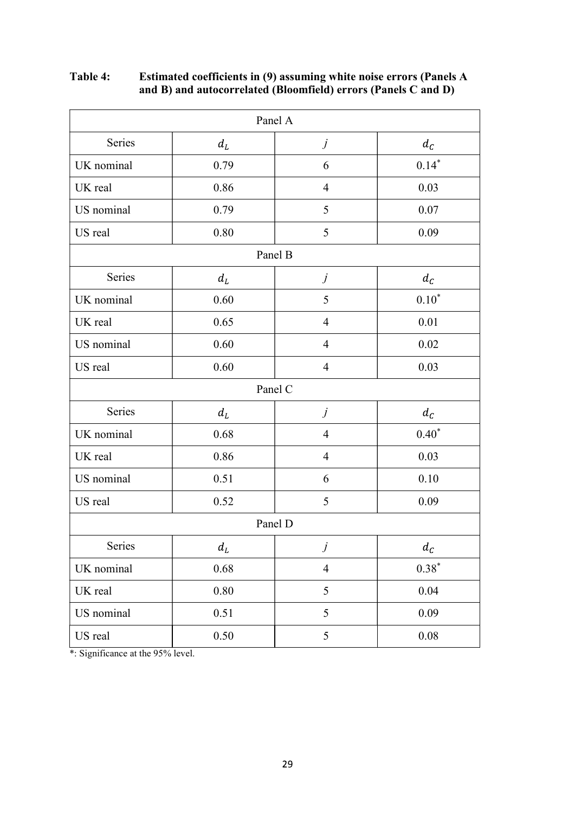|            | Panel A                    |                |                   |  |  |  |
|------------|----------------------------|----------------|-------------------|--|--|--|
| Series     | $d_{\scriptscriptstyle L}$ | $\dot{J}$      | $d_{\mathcal{C}}$ |  |  |  |
| UK nominal | 0.79                       | $\sqrt{6}$     | $0.14*$           |  |  |  |
| UK real    | 0.86                       | $\overline{4}$ | 0.03              |  |  |  |
| US nominal | 0.79                       | 5              | $0.07\,$          |  |  |  |
| US real    | $0.80\,$                   | 5              | 0.09              |  |  |  |
|            | Panel B                    |                |                   |  |  |  |
| Series     | $d_L$                      | $\dot{J}$      | $d_{\mathcal{C}}$ |  |  |  |
| UK nominal | $0.60\,$                   | 5              | $0.10^\ast$       |  |  |  |
| UK real    | 0.65                       | $\overline{4}$ | 0.01              |  |  |  |
| US nominal | 0.60                       | $\overline{4}$ | 0.02              |  |  |  |
| US real    | $0.60\,$                   | $\overline{4}$ | 0.03              |  |  |  |
|            |                            | Panel C        |                   |  |  |  |
| Series     | $d_L$                      | $\dot{J}$      | $d_{\mathcal{C}}$ |  |  |  |
| UK nominal | $0.68\,$                   | $\overline{4}$ | $0.40*$           |  |  |  |
| UK real    | 0.86                       | $\overline{4}$ | 0.03              |  |  |  |
| US nominal | 0.51                       | 6              | 0.10              |  |  |  |
| US real    | 0.52                       | 5              | 0.09              |  |  |  |
|            |                            | Panel D        |                   |  |  |  |
| Series     | $d_L$                      | j              | $d_{\mathcal{C}}$ |  |  |  |
| UK nominal | 0.68                       | $\overline{4}$ | $0.38*$           |  |  |  |
| UK real    | $0.80\,$                   | 5              | 0.04              |  |  |  |
| US nominal | 0.51                       | 5              | 0.09              |  |  |  |
| US real    | 0.50                       | 5              | $0.08\,$          |  |  |  |

Table 4: Estimated coefficients in (9) assuming white noise errors (Panels A and B) and autocorrelated (Bloomfield) errors (Panels C and D)

\*: Significance at the 95% level.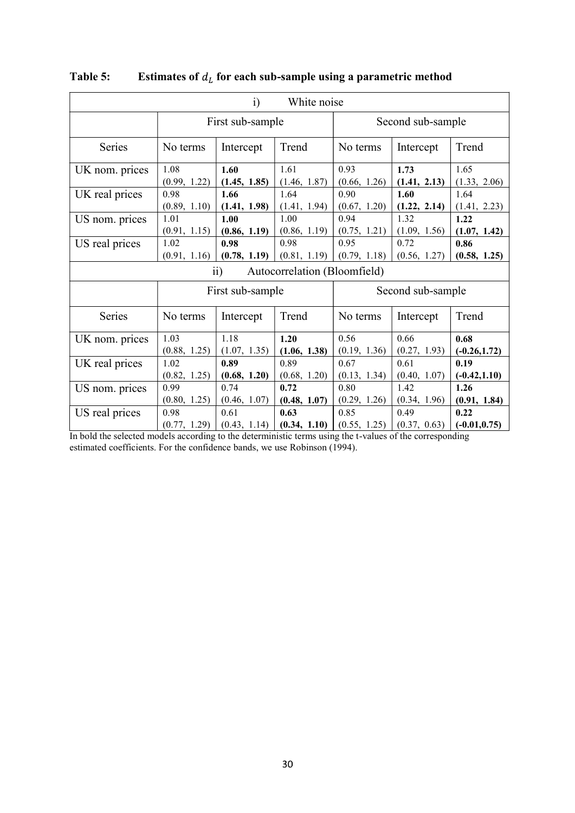| $\ddot{i}$<br>White noise |                  |                  |                              |                   |              |                 |
|---------------------------|------------------|------------------|------------------------------|-------------------|--------------|-----------------|
|                           |                  | First sub-sample |                              | Second sub-sample |              |                 |
| Series                    | No terms         | Intercept        | Trend                        | No terms          | Intercept    | Trend           |
| UK nom. prices            | 1.08             | 1.60             | 1.61                         | 0.93              | 1.73         | 1.65            |
|                           | (0.99, 1.22)     | (1.45, 1.85)     | (1.46, 1.87)                 | (0.66, 1.26)      | (1.41, 2.13) | (1.33, 2.06)    |
| UK real prices            | 0.98             | 1.66             | 1.64                         | 0.90              | 1.60         | 1.64            |
|                           | (0.89, 1.10)     | (1.41, 1.98)     | (1.41, 1.94)                 | (0.67, 1.20)      | (1.22, 2.14) | (1.41, 2.23)    |
| US nom. prices            | 1.01             | 1.00             | 1.00                         | 0.94              | 1.32         | 1.22            |
|                           | (0.91, 1.15)     | (0.86, 1.19)     | (0.86, 1.19)                 | (0.75, 1.21)      | (1.09, 1.56) | (1.07, 1.42)    |
| US real prices            | 1.02             | 0.98             | 0.98                         | 0.95              | 0.72         | 0.86            |
|                           | (0.91, 1.16)     | (0.78, 1.19)     | (0.81, 1.19)                 | (0.79, 1.18)      | (0.56, 1.27) | (0.58, 1.25)    |
|                           |                  | $\overline{11}$  | Autocorrelation (Bloomfield) |                   |              |                 |
|                           | First sub-sample |                  |                              | Second sub-sample |              |                 |
| Series                    | No terms         | Intercept        | Trend                        | No terms          | Intercept    | Trend           |
| UK nom. prices            | 1.03             | 1.18             | 1.20                         | 0.56              | 0.66         | 0.68            |
|                           | (0.88, 1.25)     | (1.07, 1.35)     | (1.06, 1.38)                 | (0.19, 1.36)      | (0.27, 1.93) | $(-0.26, 1.72)$ |
| UK real prices            | 1.02             | 0.89             | 0.89                         | 0.67              | 0.61         | 0.19            |
|                           | (0.82, 1.25)     | (0.68, 1.20)     | (0.68, 1.20)                 | (0.13, 1.34)      | (0.40, 1.07) | $(-0.42, 1.10)$ |
| US nom. prices            | 0.99             | 0.74             | 0.72                         | 0.80              | 1.42         | 1.26            |
|                           | (0.80, 1.25)     | (0.46, 1.07)     | (0.48, 1.07)                 | (0.29, 1.26)      | (0.34, 1.96) | (0.91, 1.84)    |
| US real prices            | 0.98             | 0.61             | 0.63                         | 0.85              | 0.49         | 0.22            |
|                           | (0.77, 1.29)     | (0.43, 1.14)     | (0.34, 1.10)                 | (0.55, 1.25)      | (0.37, 0.63) | $(-0.01, 0.75)$ |

Table 5: Estimates of  $d_L$  for each sub-sample using a parametric method

In bold the selected models according to the deterministic terms using the t-values of the corresponding estimated coefficients. For the confidence bands, we use Robinson (1994).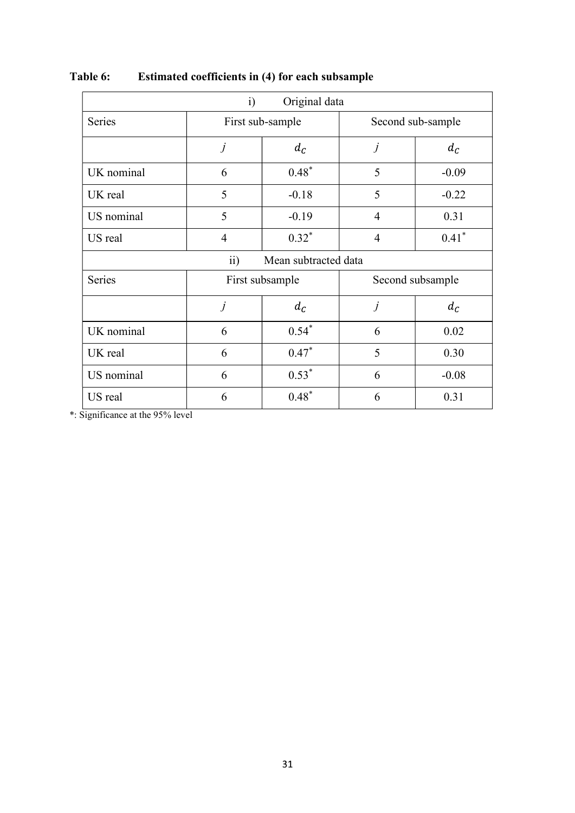| Original data<br>$\mathbf{i}$           |                |                   |                |                   |  |  |
|-----------------------------------------|----------------|-------------------|----------------|-------------------|--|--|
| Series                                  |                | First sub-sample  |                | Second sub-sample |  |  |
|                                         | $\dot{J}$      | $d_{\mathcal{C}}$ | j              | $d_{\mathcal{C}}$ |  |  |
| UK nominal                              | 6              | $0.48*$           | 5              | $-0.09$           |  |  |
| UK real                                 | 5              | $-0.18$           | 5              | $-0.22$           |  |  |
| US nominal                              | 5              | $-0.19$           | $\overline{4}$ | 0.31              |  |  |
| US real                                 | $\overline{4}$ | $0.32*$           | $\overline{4}$ | $0.41*$           |  |  |
| $\overline{ii}$<br>Mean subtracted data |                |                   |                |                   |  |  |
| Series                                  |                | First subsample   |                | Second subsample  |  |  |
|                                         | $\dot{J}$      | $d_{\mathcal{C}}$ | j              | $d_{\mathcal{C}}$ |  |  |
| UK nominal                              | 6              | $0.54*$           | 6              | 0.02              |  |  |
| UK real                                 | 6              | $0.47*$           | 5              | 0.30              |  |  |
| US nominal                              | 6              | $0.53*$           | 6              | $-0.08$           |  |  |
| US real                                 | 6              | $0.48*$           | 6              | 0.31              |  |  |

# Table 6: Estimated coefficients in (4) for each subsample

\*: Significance at the 95% level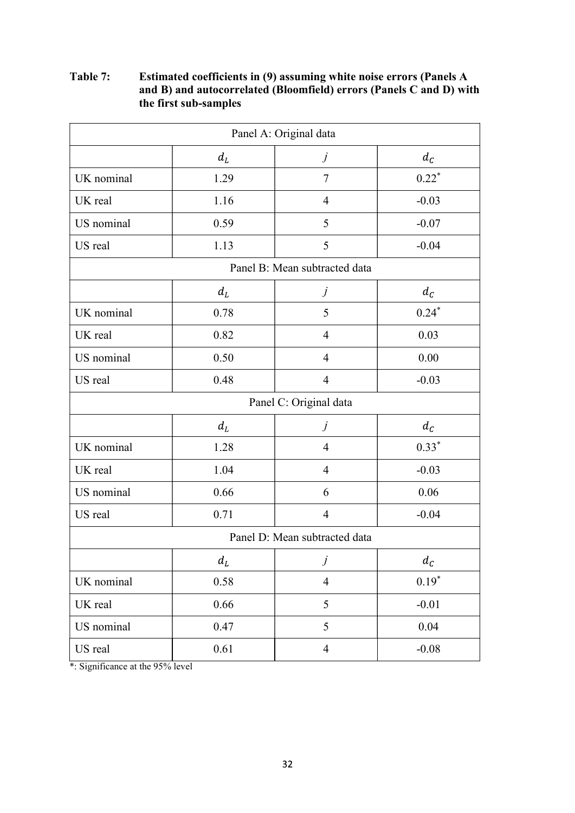# Table 7: Estimated coefficients in (9) assuming white noise errors (Panels A and B) and autocorrelated (Bloomfield) errors (Panels C and D) with the first sub-samples

| Panel A: Original data |          |                               |                   |  |  |
|------------------------|----------|-------------------------------|-------------------|--|--|
|                        | $d_L$    | $\dot{J}$                     | $d_{\mathcal{C}}$ |  |  |
| UK nominal             | 1.29     | $\overline{7}$                | $0.22*$           |  |  |
| UK real                | 1.16     | $\overline{4}$                | $-0.03$           |  |  |
| US nominal             | 0.59     | 5                             | $-0.07$           |  |  |
| US real                | 1.13     | 5                             | $-0.04$           |  |  |
|                        |          | Panel B: Mean subtracted data |                   |  |  |
|                        | $d_L$    | $\dot{J}$                     | $d_{\mathcal{C}}$ |  |  |
| UK nominal             | 0.78     | 5                             | $0.24*$           |  |  |
| UK real                | 0.82     | $\overline{4}$                | 0.03              |  |  |
| US nominal             | 0.50     | $\overline{4}$                | 0.00              |  |  |
| US real                | 0.48     | $\overline{4}$                | $-0.03$           |  |  |
|                        |          | Panel C: Original data        |                   |  |  |
|                        | $d_L$    | $\dot{J}$                     | $d_{\mathcal{C}}$ |  |  |
| UK nominal             | 1.28     | $\overline{4}$                | $0.33*$           |  |  |
| UK real                | 1.04     | $\overline{4}$                | $-0.03$           |  |  |
| US nominal             | 0.66     | 6                             | 0.06              |  |  |
| US real                | 0.71     | $\overline{4}$                | $-0.04$           |  |  |
|                        |          | Panel D: Mean subtracted data |                   |  |  |
|                        | $d_L$    | $\dot{J}$                     | $d_{\mathcal{C}}$ |  |  |
| UK nominal             | 0.58     | $\overline{4}$                | $0.19*$           |  |  |
| UK real                | 0.66     | 5                             | $-0.01$           |  |  |
| US nominal             | 0.47     | 5                             | 0.04              |  |  |
| US real                | $0.61\,$ | $\overline{4}$                | $-0.08$           |  |  |

 $\frac{1}{\cdot}$  Significance at the 95% level